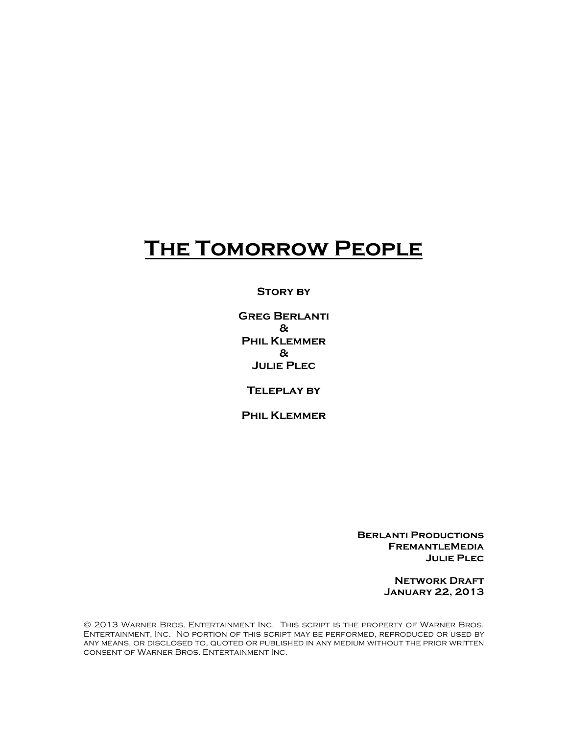# **The Tomorrow People**

**Story by**

**Greg Berlanti & Phil Klemmer & Julie Plec**

**Teleplay by**

**Phil Klemmer**

**Berlanti Productions FremantleMedia Julie Plec**

> **Network Draft January 22, 2013**

© 2013 Warner Bros. Entertainment Inc. This script is the property of Warner Bros. Entertainment, Inc. No portion of this script may be performed, reproduced or used by any means, or disclosed to, quoted or published in any medium without the prior written consent of Warner Bros. Entertainment Inc.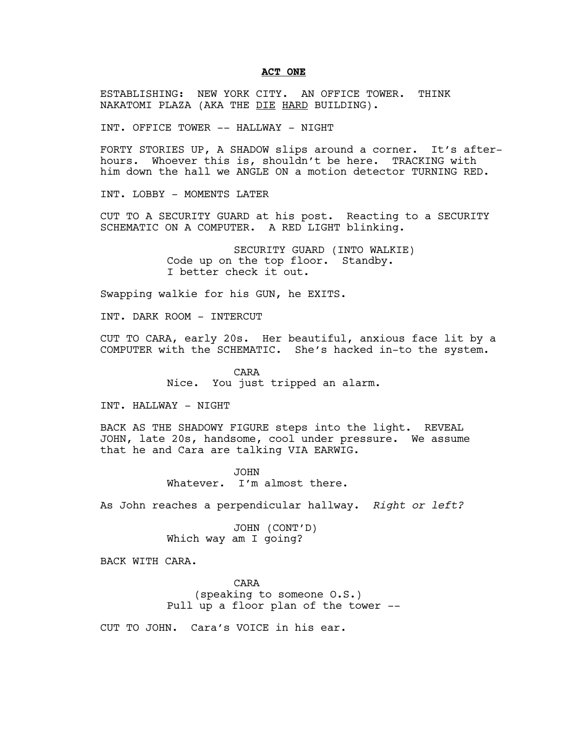#### **ACT ONE**

ESTABLISHING: NEW YORK CITY. AN OFFICE TOWER. THINK NAKATOMI PLAZA (AKA THE DIE HARD BUILDING).

INT. OFFICE TOWER -- HALLWAY - NIGHT

FORTY STORIES UP, A SHADOW slips around a corner. It's afterhours. Whoever this is, shouldn't be here. TRACKING with him down the hall we ANGLE ON a motion detector TURNING RED.

INT. LOBBY - MOMENTS LATER

CUT TO A SECURITY GUARD at his post. Reacting to a SECURITY SCHEMATIC ON A COMPUTER. A RED LIGHT blinking.

> SECURITY GUARD (INTO WALKIE) Code up on the top floor. Standby. I better check it out.

Swapping walkie for his GUN, he EXITS.

INT. DARK ROOM - INTERCUT

CUT TO CARA, early 20s. Her beautiful, anxious face lit by a COMPUTER with the SCHEMATIC. She's hacked in-to the system.

> CARA Nice. You just tripped an alarm.

INT. HALLWAY - NIGHT

BACK AS THE SHADOWY FIGURE steps into the light. REVEAL JOHN, late 20s, handsome, cool under pressure. We assume that he and Cara are talking VIA EARWIG.

> JOHN Whatever. I'm almost there.

As John reaches a perpendicular hallway. *Right or left?*

JOHN (CONT'D) Which way am I going?

BACK WITH CARA.

CARA (speaking to someone O.S.) Pull up a floor plan of the tower --

CUT TO JOHN. Cara's VOICE in his ear.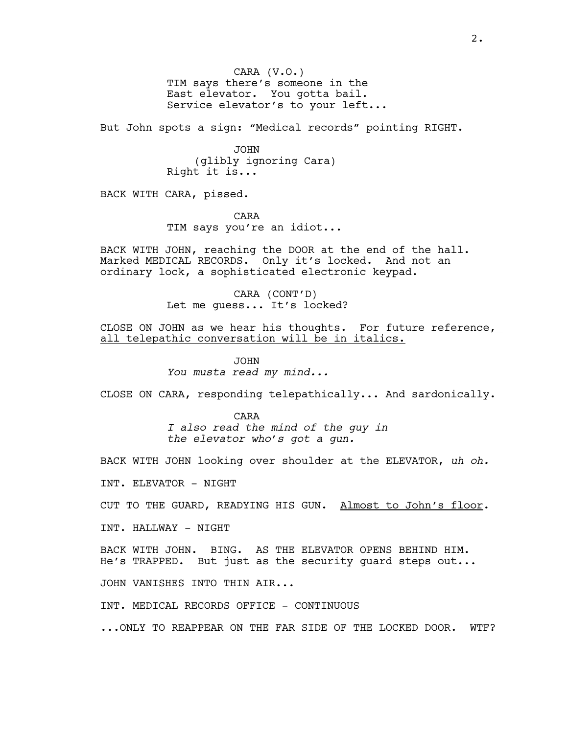CARA (V.O.) TIM says there's someone in the East elevator. You gotta bail. Service elevator's to your left...

But John spots a sign: "Medical records" pointing RIGHT.

JOHN (glibly ignoring Cara) Right it is...

BACK WITH CARA, pissed.

CARA TIM says you're an idiot...

BACK WITH JOHN, reaching the DOOR at the end of the hall. Marked MEDICAL RECORDS. Only it's locked. And not an ordinary lock, a sophisticated electronic keypad.

> CARA (CONT'D) Let me guess... It's locked?

CLOSE ON JOHN as we hear his thoughts. For future reference, all telepathic conversation will be in italics.

> JOHN *You musta read my mind...*

CLOSE ON CARA, responding telepathically... And sardonically.

CARA *I also read the mind of the guy in the elevator who's got a gun.*

BACK WITH JOHN looking over shoulder at the ELEVATOR, *uh oh.*

INT. ELEVATOR - NIGHT

CUT TO THE GUARD, READYING HIS GUN. Almost to John's floor.

INT. HALLWAY - NIGHT

BACK WITH JOHN. BING. AS THE ELEVATOR OPENS BEHIND HIM. He's TRAPPED. But just as the security guard steps out...

JOHN VANISHES INTO THIN AIR...

INT. MEDICAL RECORDS OFFICE - CONTINUOUS

...ONLY TO REAPPEAR ON THE FAR SIDE OF THE LOCKED DOOR. WTF?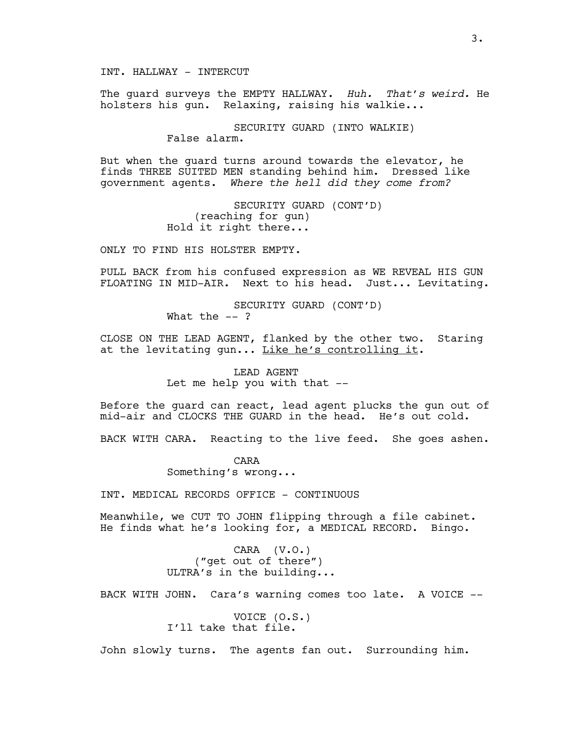INT. HALLWAY - INTERCUT

The guard surveys the EMPTY HALLWAY. *Huh. That's weird.* He holsters his gun. Relaxing, raising his walkie...

> SECURITY GUARD (INTO WALKIE) False alarm.

But when the guard turns around towards the elevator, he finds THREE SUITED MEN standing behind him. Dressed like government agents. *Where the hell did they come from?* 

> SECURITY GUARD (CONT'D) (reaching for gun) Hold it right there...

ONLY TO FIND HIS HOLSTER EMPTY.

PULL BACK from his confused expression as WE REVEAL HIS GUN FLOATING IN MID-AIR. Next to his head. Just... Levitating.

> SECURITY GUARD (CONT'D) What the  $--$  ?

CLOSE ON THE LEAD AGENT, flanked by the other two. Staring at the levitating gun... Like he's controlling it.

> LEAD AGENT Let me help you with that --

Before the guard can react, lead agent plucks the gun out of mid-air and CLOCKS THE GUARD in the head. He's out cold.

BACK WITH CARA. Reacting to the live feed. She goes ashen.

CARA Something's wrong...

INT. MEDICAL RECORDS OFFICE - CONTINUOUS

Meanwhile, we CUT TO JOHN flipping through a file cabinet. He finds what he's looking for, a MEDICAL RECORD. Bingo.

> CARA (V.O.) ("get out of there") ULTRA's in the building...

BACK WITH JOHN. Cara's warning comes too late. A VOICE --

VOICE (O.S.) I'll take that file.

John slowly turns. The agents fan out. Surrounding him.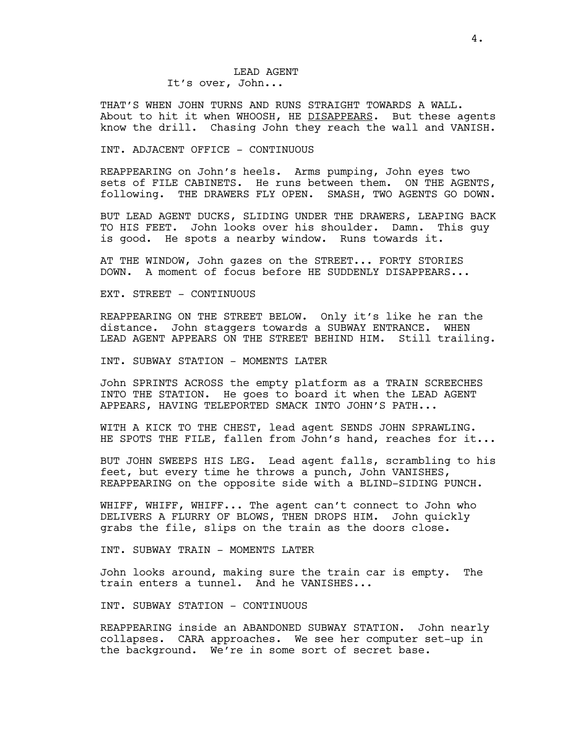THAT'S WHEN JOHN TURNS AND RUNS STRAIGHT TOWARDS A WALL. About to hit it when WHOOSH, HE DISAPPEARS. But these agents know the drill. Chasing John they reach the wall and VANISH.

#### INT. ADJACENT OFFICE - CONTINUOUS

REAPPEARING on John's heels. Arms pumping, John eyes two sets of FILE CABINETS. He runs between them. ON THE AGENTS, following. THE DRAWERS FLY OPEN. SMASH, TWO AGENTS GO DOWN.

BUT LEAD AGENT DUCKS, SLIDING UNDER THE DRAWERS, LEAPING BACK TO HIS FEET. John looks over his shoulder. Damn. This guy is good. He spots a nearby window. Runs towards it.

AT THE WINDOW, John gazes on the STREET... FORTY STORIES DOWN. A moment of focus before HE SUDDENLY DISAPPEARS...

EXT. STREET - CONTINUOUS

REAPPEARING ON THE STREET BELOW. Only it's like he ran the distance. John staggers towards a SUBWAY ENTRANCE. WHEN LEAD AGENT APPEARS ON THE STREET BEHIND HIM. Still trailing.

INT. SUBWAY STATION - MOMENTS LATER

John SPRINTS ACROSS the empty platform as a TRAIN SCREECHES INTO THE STATION. He goes to board it when the LEAD AGENT APPEARS, HAVING TELEPORTED SMACK INTO JOHN'S PATH...

WITH A KICK TO THE CHEST, lead agent SENDS JOHN SPRAWLING. HE SPOTS THE FILE, fallen from John's hand, reaches for it...

BUT JOHN SWEEPS HIS LEG. Lead agent falls, scrambling to his feet, but every time he throws a punch, John VANISHES, REAPPEARING on the opposite side with a BLIND-SIDING PUNCH.

WHIFF, WHIFF, WHIFF... The agent can't connect to John who DELIVERS A FLURRY OF BLOWS, THEN DROPS HIM. John quickly grabs the file, slips on the train as the doors close.

INT. SUBWAY TRAIN - MOMENTS LATER

John looks around, making sure the train car is empty. The train enters a tunnel. And he VANISHES...

INT. SUBWAY STATION - CONTINUOUS

REAPPEARING inside an ABANDONED SUBWAY STATION. John nearly collapses. CARA approaches. We see her computer set-up in the background. We're in some sort of secret base.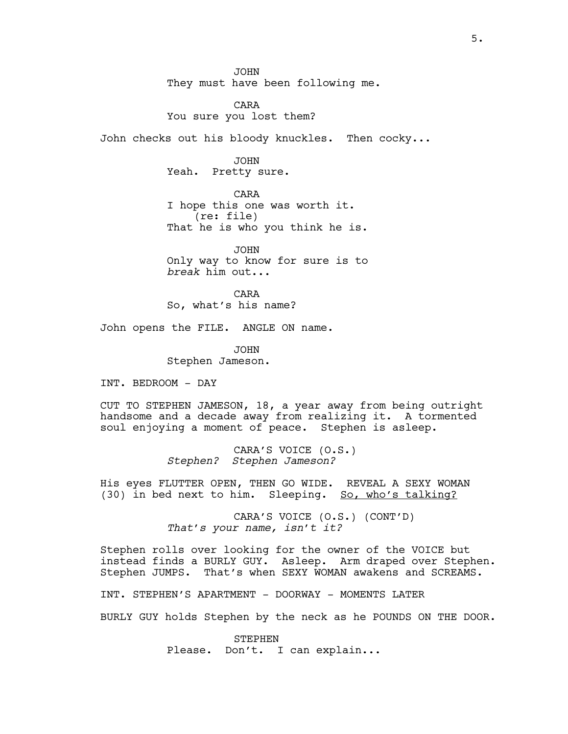JOHN They must have been following me.

CARA You sure you lost them?

John checks out his bloody knuckles. Then cocky...

JOHN Yeah. Pretty sure.

CARA I hope this one was worth it. (re: file) That he is who you think he is.

JOHN Only way to know for sure is to *break* him out...

CARA So, what's his name?

John opens the FILE. ANGLE ON name.

JOHN Stephen Jameson.

INT. BEDROOM - DAY

CUT TO STEPHEN JAMESON, 18, a year away from being outright handsome and a decade away from realizing it. A tormented soul enjoying a moment of peace. Stephen is asleep.

> CARA'S VOICE (O.S.) *Stephen? Stephen Jameson?*

His eyes FLUTTER OPEN, THEN GO WIDE. REVEAL A SEXY WOMAN (30) in bed next to him. Sleeping. So, who's talking?

> CARA'S VOICE (O.S.) (CONT'D) *That's your name, isn't it?*

Stephen rolls over looking for the owner of the VOICE but instead finds a BURLY GUY. Asleep. Arm draped over Stephen. Stephen JUMPS. That's when SEXY WOMAN awakens and SCREAMS.

INT. STEPHEN'S APARTMENT - DOORWAY - MOMENTS LATER

BURLY GUY holds Stephen by the neck as he POUNDS ON THE DOOR.

STEPHEN Please. Don't. I can explain...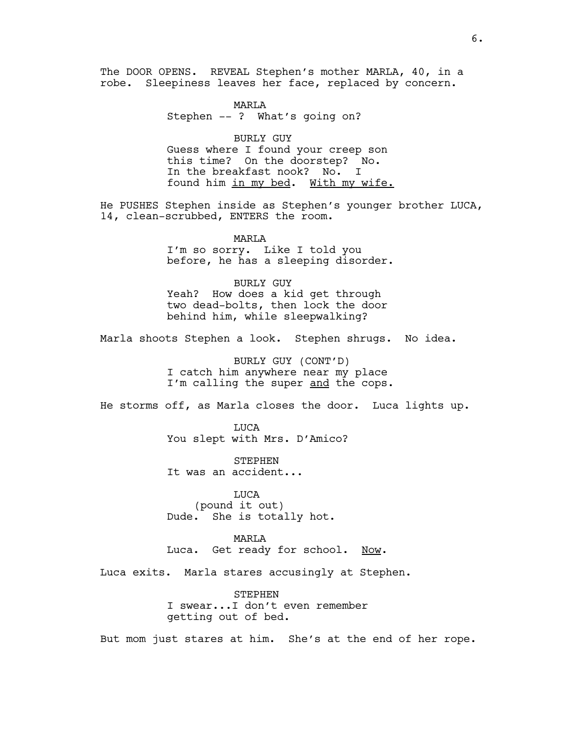The DOOR OPENS. REVEAL Stephen's mother MARLA, 40, in a robe. Sleepiness leaves her face, replaced by concern.

> MARLA Stephen -- ? What's going on?

BURLY GUY Guess where I found your creep son this time? On the doorstep? No. In the breakfast nook? No. I found him in my bed. With my wife.

He PUSHES Stephen inside as Stephen's younger brother LUCA, 14, clean-scrubbed, ENTERS the room.

> MARLA I'm so sorry. Like I told you before, he has a sleeping disorder.

BURLY GUY Yeah? How does a kid get through two dead-bolts, then lock the door behind him, while sleepwalking?

Marla shoots Stephen a look. Stephen shrugs. No idea.

BURLY GUY (CONT'D) I catch him anywhere near my place I'm calling the super and the cops.

He storms off, as Marla closes the door. Luca lights up.

LUCA You slept with Mrs. D'Amico?

STEPHEN It was an accident...

LUCA (pound it out) Dude. She is totally hot.

MARLA Luca. Get ready for school. Now.

Luca exits. Marla stares accusingly at Stephen.

STEPHEN I swear...I don't even remember getting out of bed.

But mom just stares at him. She's at the end of her rope.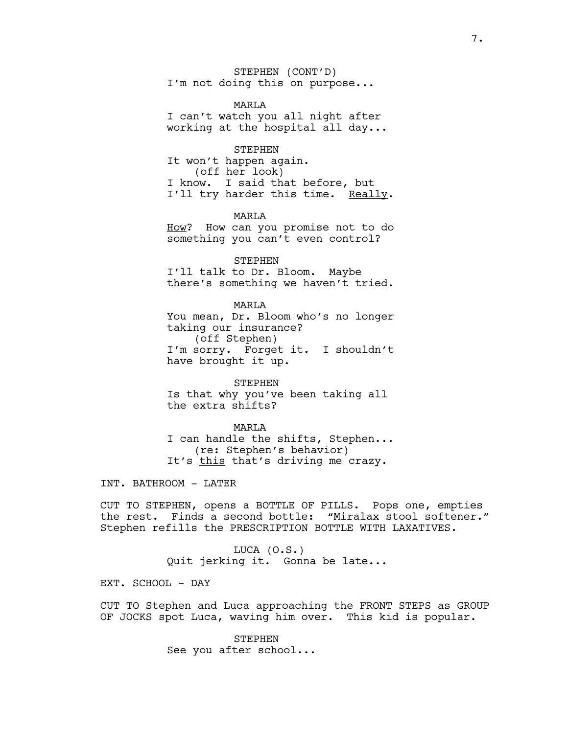STEPHEN (CONT'D) I'm not doing this on purpose...

MARLA I can't watch you all night after working at the hospital all day...

STEPHEN It won't happen again. (off her look) I know. I said that before, but I'll try harder this time. Really.

MART<sub>A</sub> How? How can you promise not to do something you can't even control?

STEPHEN I'll talk to Dr. Bloom. Maybe there's something we haven't tried.

MARLA You mean, Dr. Bloom who's no longer taking our insurance? (off Stephen) I'm sorry. Forget it. I shouldn't have brought it up.

STEPHEN Is that why you've been taking all the extra shifts?

MARLA I can handle the shifts, Stephen... (re: Stephen's behavior) It's this that's driving me crazy.

INT. BATHROOM - LATER

CUT TO STEPHEN, opens a BOTTLE OF PILLS. Pops one, empties the rest. Finds a second bottle: "Miralax stool softener." Stephen refills the PRESCRIPTION BOTTLE WITH LAXATIVES.

> LUCA (O.S.) Quit jerking it. Gonna be late...

EXT. SCHOOL - DAY

CUT TO Stephen and Luca approaching the FRONT STEPS as GROUP OF JOCKS spot Luca, waving him over. This kid is popular.

> STEPHEN See you after school...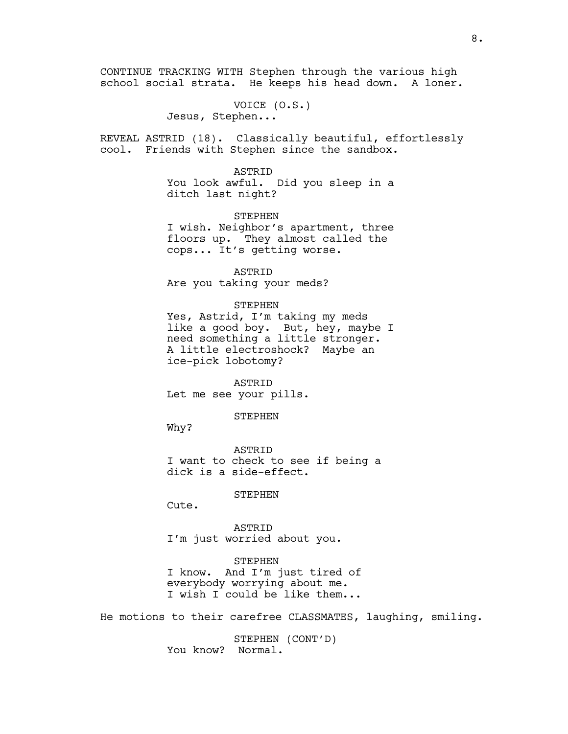CONTINUE TRACKING WITH Stephen through the various high school social strata. He keeps his head down. A loner.

> VOICE (O.S.) Jesus, Stephen...

REVEAL ASTRID (18). Classically beautiful, effortlessly cool. Friends with Stephen since the sandbox.

> ASTRID You look awful. Did you sleep in a ditch last night?

> STEPHEN I wish. Neighbor's apartment, three floors up. They almost called the cops... It's getting worse.

ASTRID Are you taking your meds?

STEPHEN Yes, Astrid, I'm taking my meds like a good boy. But, hey, maybe I need something a little stronger. A little electroshock? Maybe an ice-pick lobotomy?

ASTRID Let me see your pills.

STEPHEN

Why?

ASTRID I want to check to see if being a dick is a side-effect.

STEPHEN

Cute.

ASTRID I'm just worried about you.

STEPHEN I know. And I'm just tired of everybody worrying about me. I wish I could be like them...

He motions to their carefree CLASSMATES, laughing, smiling.

STEPHEN (CONT'D) You know? Normal.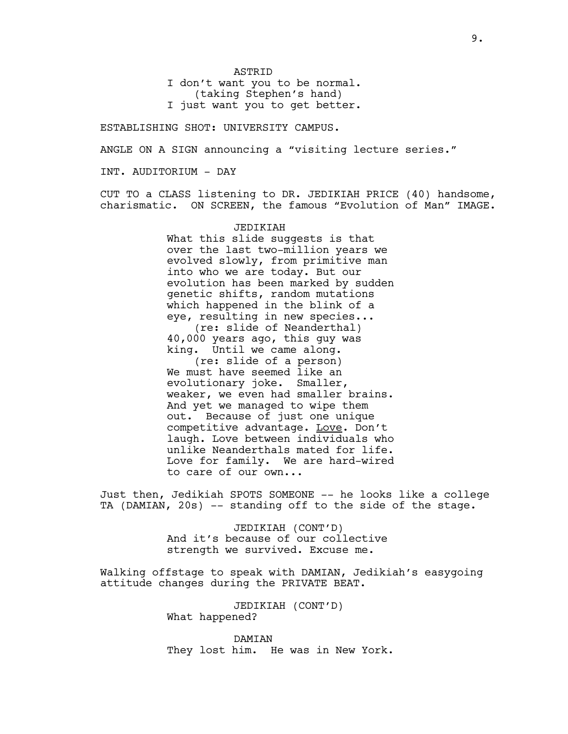**ASTRID** 

I don't want you to be normal. (taking Stephen's hand)

I just want you to get better.

ESTABLISHING SHOT: UNIVERSITY CAMPUS.

ANGLE ON A SIGN announcing a "visiting lecture series."

INT. AUDITORIUM - DAY

CUT TO a CLASS listening to DR. JEDIKIAH PRICE (40) handsome, charismatic. ON SCREEN, the famous "Evolution of Man" IMAGE.

# JEDIKIAH

What this slide suggests is that over the last two-million years we evolved slowly, from primitive man into who we are today. But our evolution has been marked by sudden genetic shifts, random mutations which happened in the blink of a eye, resulting in new species... (re: slide of Neanderthal) 40,000 years ago, this guy was king. Until we came along. (re: slide of a person) We must have seemed like an evolutionary joke. Smaller, weaker, we even had smaller brains. And yet we managed to wipe them out. Because of just one unique competitive advantage. Love. Don't laugh. Love between individuals who unlike Neanderthals mated for life. Love for family. We are hard-wired to care of our own...

Just then, Jedikiah SPOTS SOMEONE -- he looks like a college TA (DAMIAN, 20s) -- standing off to the side of the stage.

> JEDIKIAH (CONT'D) And it's because of our collective strength we survived. Excuse me.

Walking offstage to speak with DAMIAN, Jedikiah's easygoing attitude changes during the PRIVATE BEAT.

> JEDIKIAH (CONT'D) What happened?

DAMIAN They lost him. He was in New York.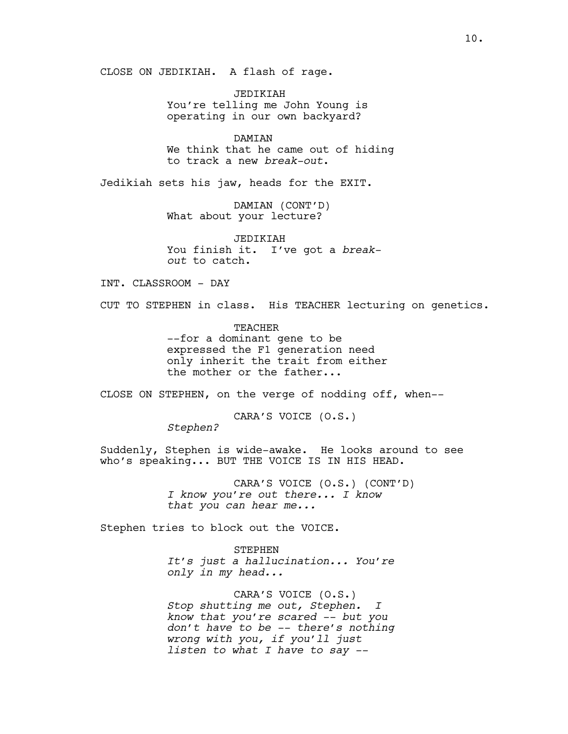CLOSE ON JEDIKIAH. A flash of rage.

JEDIKIAH You're telling me John Young is operating in our own backyard?

DAMIAN We think that he came out of hiding to track a new *break-out*.

Jedikiah sets his jaw, heads for the EXIT.

DAMIAN (CONT'D) What about your lecture?

JEDIKIAH You finish it. I've got a *breakout* to catch.

INT. CLASSROOM - DAY

CUT TO STEPHEN in class. His TEACHER lecturing on genetics.

TEACHER --for a dominant gene to be expressed the F1 generation need only inherit the trait from either the mother or the father...

CLOSE ON STEPHEN, on the verge of nodding off, when--

CARA'S VOICE (O.S.)

*Stephen?* 

Suddenly, Stephen is wide-awake. He looks around to see who's speaking... BUT THE VOICE IS IN HIS HEAD.

> CARA'S VOICE (O.S.) (CONT'D) *I know you're out there... I know that you can hear me...*

Stephen tries to block out the VOICE.

STEPHEN *It's just a hallucination... You're only in my head...*

CARA'S VOICE (O.S.) *Stop shutting me out, Stephen. I know that you're scared -- but you don't have to be -- there's nothing wrong with you, if you'll just listen to what I have to say --*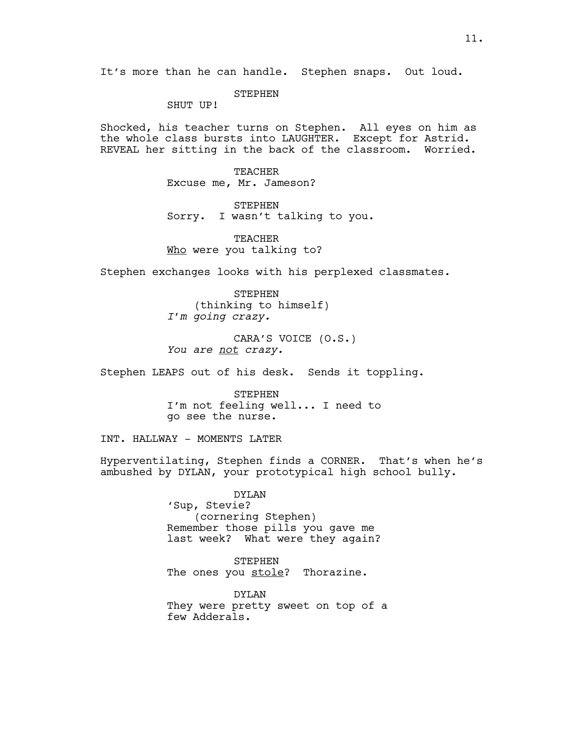**STEPHEN** 

SHUT UP!

Shocked, his teacher turns on Stephen. All eyes on him as the whole class bursts into LAUGHTER. Except for Astrid. REVEAL her sitting in the back of the classroom. Worried.

> TEACHER Excuse me, Mr. Jameson?

STEPHEN Sorry. I wasn't talking to you.

**TEACHER** Who were you talking to?

Stephen exchanges looks with his perplexed classmates.

**STEPHEN** (thinking to himself) *I'm going crazy.*

CARA'S VOICE (O.S.) *You are not crazy.*

Stephen LEAPS out of his desk. Sends it toppling.

STEPHEN I'm not feeling well... I need to go see the nurse.

INT. HALLWAY - MOMENTS LATER

Hyperventilating, Stephen finds a CORNER. That's when he's ambushed by DYLAN, your prototypical high school bully.

> DYLAN 'Sup, Stevie? (cornering Stephen) Remember those pills you gave me last week? What were they again?

STEPHEN The ones you stole? Thorazine.

DYLAN They were pretty sweet on top of a few Adderals.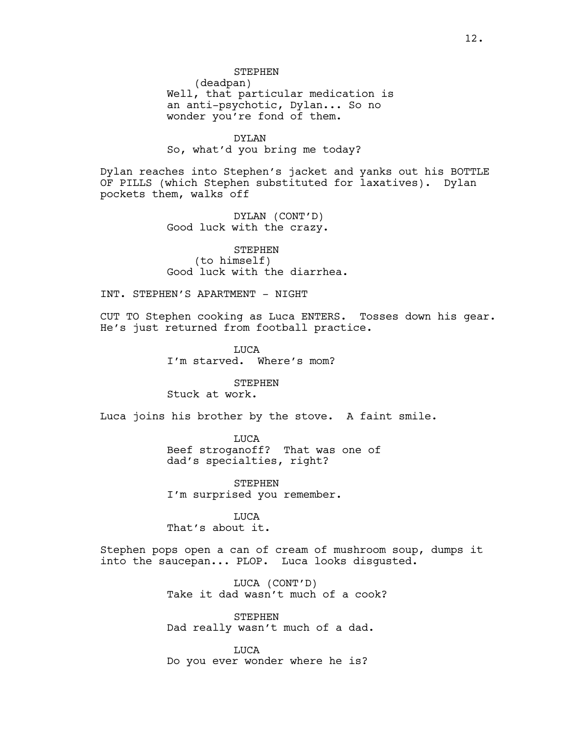**STEPHEN** 

(deadpan) Well, that particular medication is an anti-psychotic, Dylan... So no wonder you're fond of them.

DYLAN So, what'd you bring me today?

Dylan reaches into Stephen's jacket and yanks out his BOTTLE OF PILLS (which Stephen substituted for laxatives). Dylan pockets them, walks off

> DYLAN (CONT'D) Good luck with the crazy.

STEPHEN (to himself) Good luck with the diarrhea.

INT. STEPHEN'S APARTMENT - NIGHT

CUT TO Stephen cooking as Luca ENTERS. Tosses down his gear. He's just returned from football practice.

> LUCA I'm starved. Where's mom?

STEPHEN Stuck at work.

Luca joins his brother by the stove. A faint smile.

LUCA Beef stroganoff? That was one of dad's specialties, right?

STEPHEN I'm surprised you remember.

LUCA That's about it.

Stephen pops open a can of cream of mushroom soup, dumps it into the saucepan... PLOP. Luca looks disgusted.

> LUCA (CONT'D) Take it dad wasn't much of a cook?

STEPHEN Dad really wasn't much of a dad.

LUCA Do you ever wonder where he is?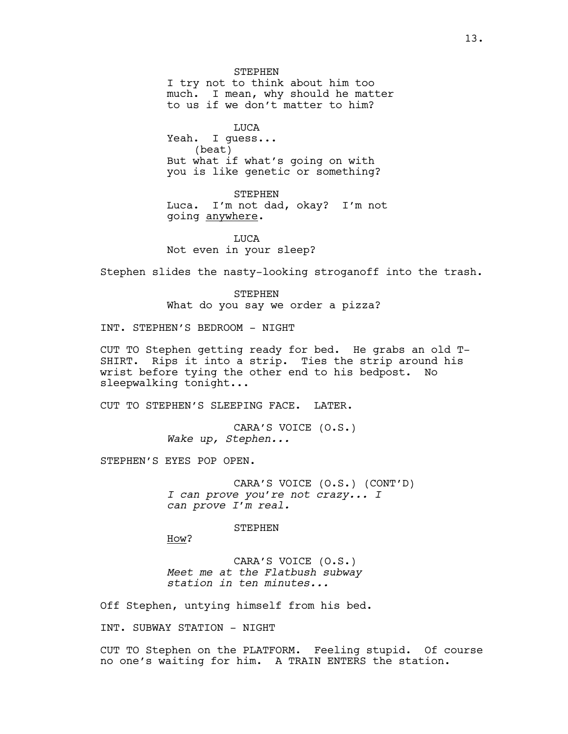**STEPHEN** I try not to think about him too much. I mean, why should he matter to us if we don't matter to him?

**TJUCA** Yeah. I guess... (beat) But what if what's going on with you is like genetic or something?

STEPHEN Luca. I'm not dad, okay? I'm not going anywhere.

**TJUCA** Not even in your sleep?

Stephen slides the nasty-looking stroganoff into the trash.

STEPHEN What do you say we order a pizza?

INT. STEPHEN'S BEDROOM - NIGHT

CUT TO Stephen getting ready for bed. He grabs an old T-SHIRT. Rips it into a strip. Ties the strip around his wrist before tying the other end to his bedpost. No sleepwalking tonight...

CUT TO STEPHEN'S SLEEPING FACE. LATER.

CARA'S VOICE (O.S.) *Wake up, Stephen...*

STEPHEN'S EYES POP OPEN.

CARA'S VOICE (O.S.) (CONT'D) *I can prove you're not crazy... I can prove I'm real.*

STEPHEN

How?

CARA'S VOICE (O.S.) *Meet me at the Flatbush subway station in ten minutes...* 

Off Stephen, untying himself from his bed.

INT. SUBWAY STATION - NIGHT

CUT TO Stephen on the PLATFORM. Feeling stupid. Of course no one's waiting for him. A TRAIN ENTERS the station.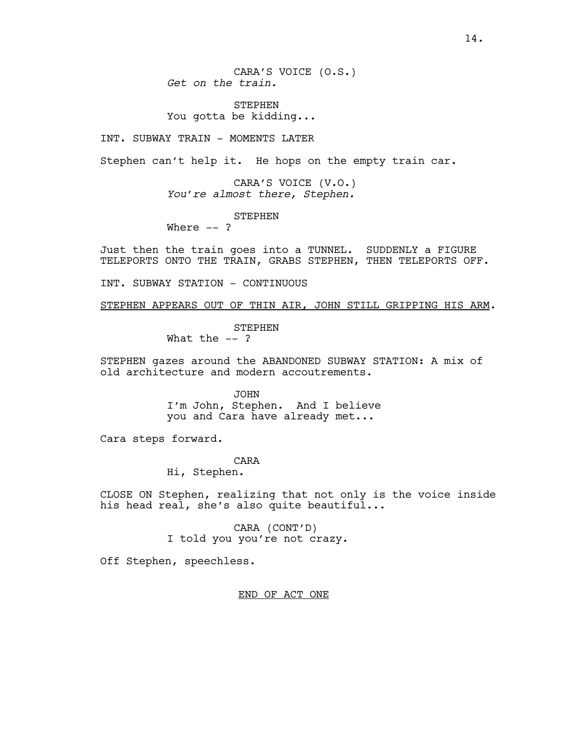CARA'S VOICE (O.S.) *Get on the train.* 

**STEPHEN** You gotta be kidding...

INT. SUBWAY TRAIN - MOMENTS LATER

Stephen can't help it. He hops on the empty train car.

CARA'S VOICE (V.O.) *You're almost there, Stephen.*

STEPHEN

Where  $--$  ?

Just then the train goes into a TUNNEL. SUDDENLY a FIGURE TELEPORTS ONTO THE TRAIN, GRABS STEPHEN, THEN TELEPORTS OFF.

INT. SUBWAY STATION - CONTINUOUS

STEPHEN APPEARS OUT OF THIN AIR, JOHN STILL GRIPPING HIS ARM.

STEPHEN

What the  $--$  ?

STEPHEN gazes around the ABANDONED SUBWAY STATION: A mix of old architecture and modern accoutrements.

> JOHN I'm John, Stephen. And I believe you and Cara have already met...

Cara steps forward.

CARA

Hi, Stephen.

CLOSE ON Stephen, realizing that not only is the voice inside his head real, she's also quite beautiful...

> CARA (CONT'D) I told you you're not crazy.

Off Stephen, speechless.

END OF ACT ONE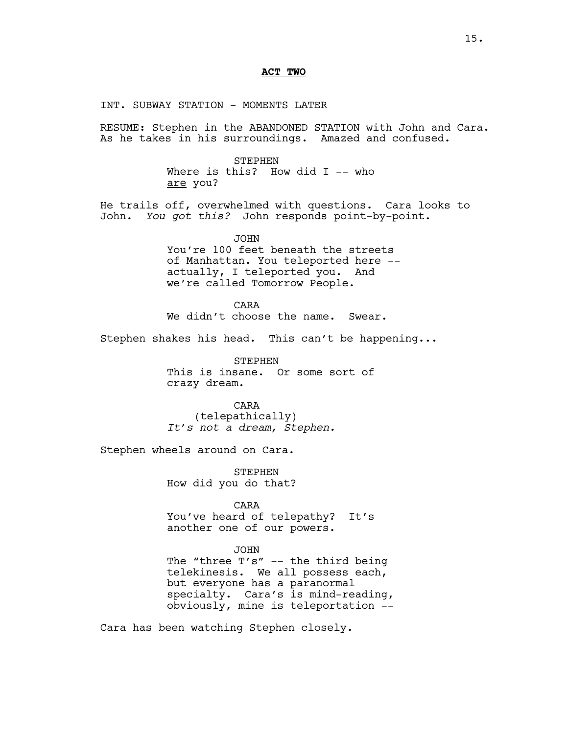#### **ACT TWO**

INT. SUBWAY STATION - MOMENTS LATER

RESUME: Stephen in the ABANDONED STATION with John and Cara. As he takes in his surroundings. Amazed and confused.

> STEPHEN Where is this? How did  $I$  -- who are you?

He trails off, overwhelmed with questions. Cara looks to<br>John. You got this? John responds point-by-point. You got this? John responds point-by-point.

> JOHN You're 100 feet beneath the streets of Manhattan. You teleported here - actually, I teleported you. And we're called Tomorrow People.

CARA We didn't choose the name. Swear.

Stephen shakes his head. This can't be happening...

STEPHEN This is insane. Or some sort of crazy dream.

CARA (telepathically) *It's not a dream, Stephen.*

Stephen wheels around on Cara.

STEPHEN How did you do that?

CARA You've heard of telepathy? It's another one of our powers.

#### JOHN

The "three T's" -- the third being telekinesis. We all possess each, but everyone has a paranormal specialty. Cara's is mind-reading, obviously, mine is teleportation --

Cara has been watching Stephen closely.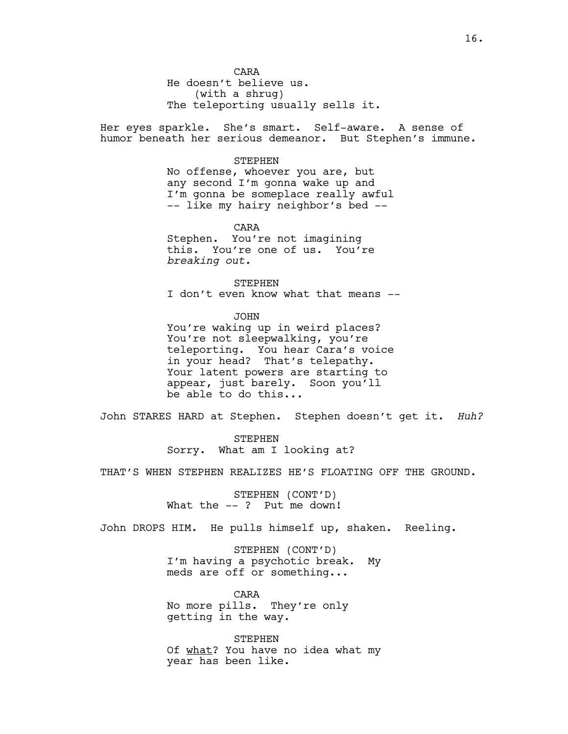He doesn't believe us. (with a shrug) The teleporting usually sells it.

Her eyes sparkle. She's smart. Self-aware. A sense of humor beneath her serious demeanor. But Stephen's immune.

#### STEPHEN

No offense, whoever you are, but any second I'm gonna wake up and I'm gonna be someplace really awful -- like my hairy neighbor's bed --

CARA Stephen. You're not imagining this. You're one of us. You're *breaking out.*

STEPHEN I don't even know what that means --

JOHN You're waking up in weird places? You're not sleepwalking, you're teleporting. You hear Cara's voice in your head? That's telepathy. Your latent powers are starting to appear, just barely. Soon you'll be able to do this...

John STARES HARD at Stephen. Stephen doesn't get it. *Huh?*

STEPHEN Sorry. What am I looking at?

THAT'S WHEN STEPHEN REALIZES HE'S FLOATING OFF THE GROUND.

STEPHEN (CONT'D) What the --? Put me down!

John DROPS HIM. He pulls himself up, shaken. Reeling.

STEPHEN (CONT'D) I'm having a psychotic break. My meds are off or something...

CARA No more pills. They're only getting in the way.

**STEPHEN** Of what? You have no idea what my year has been like.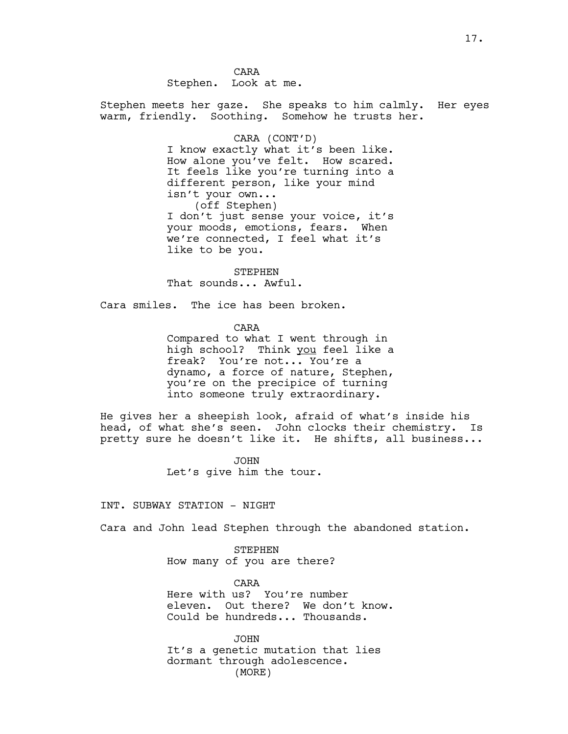CARA Stephen. Look at me.

Stephen meets her gaze. She speaks to him calmly. Her eyes warm, friendly. Soothing. Somehow he trusts her.

# CARA (CONT'D)

I know exactly what it's been like. How alone you've felt. How scared. It feels like you're turning into a different person, like your mind isn't your own... (off Stephen) I don't just sense your voice, it's your moods, emotions, fears. When we're connected, I feel what it's like to be you.

STEPHEN That sounds... Awful.

Cara smiles. The ice has been broken.

CARA

Compared to what I went through in high school? Think you feel like a freak? You're not... You're a dynamo, a force of nature, Stephen, you're on the precipice of turning into someone truly extraordinary.

He gives her a sheepish look, afraid of what's inside his head, of what she's seen. John clocks their chemistry. Is pretty sure he doesn't like it. He shifts, all business...

> JOHN Let's give him the tour.

INT. SUBWAY STATION - NIGHT

Cara and John lead Stephen through the abandoned station.

STEPHEN How many of you are there?

CARA Here with us? You're number eleven. Out there? We don't know. Could be hundreds... Thousands.

JOHN It's a genetic mutation that lies dormant through adolescence. (MORE)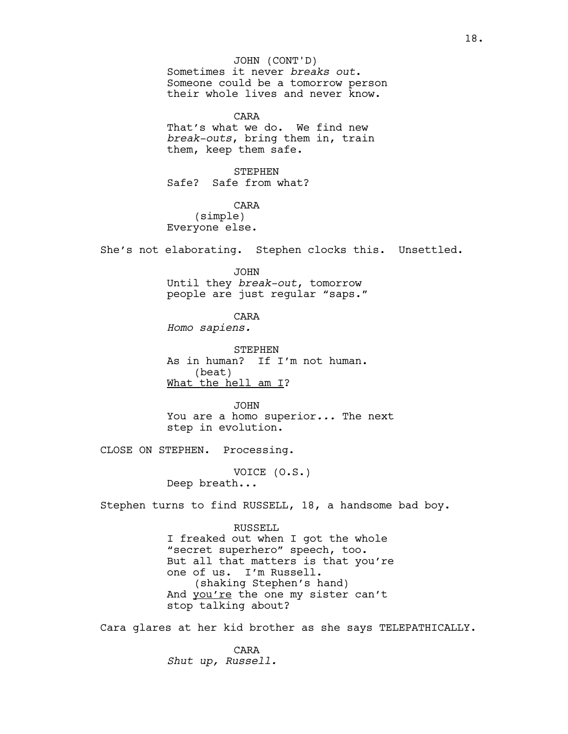Sometimes it never *breaks out*. Someone could be a tomorrow person their whole lives and never know. CARA That's what we do. We find new *break-outs*, bring them in, train them, keep them safe. STEPHEN Safe? Safe from what? CARA (simple) Everyone else. She's not elaborating. Stephen clocks this. Unsettled. JOHN Until they *break-out*, tomorrow people are just regular "saps." CARA *Homo sapiens.* STEPHEN As in human? If I'm not human. (beat) What the hell am I? JOHN You are a homo superior*...* The next step in evolution. CLOSE ON STEPHEN. Processing. VOICE (O.S.) Deep breath... Stephen turns to find RUSSELL, 18, a handsome bad boy. RUSSELL I freaked out when I got the whole "secret superhero" speech, too. But all that matters is that you're one of us. I'm Russell. (shaking Stephen's hand) And you're the one my sister can't stop talking about? Cara glares at her kid brother as she says TELEPATHICALLY. CARA *Shut up, Russell.* JOHN (CONT'D)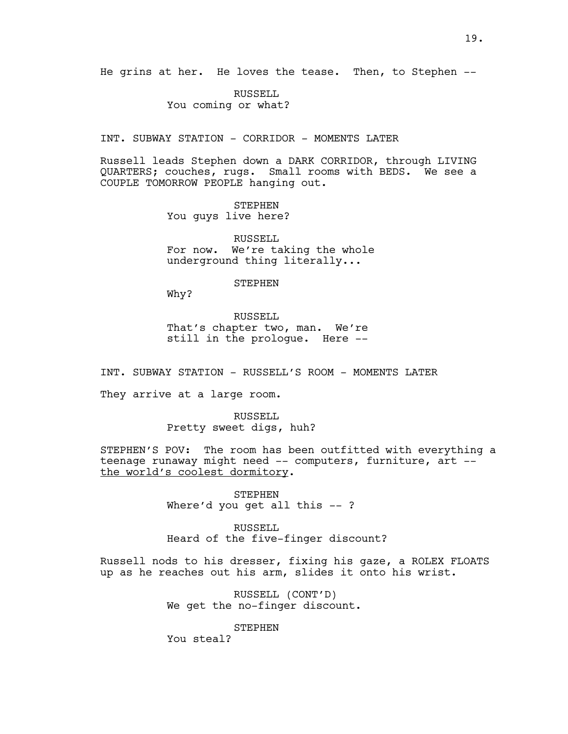RUSSELL You coming or what?

INT. SUBWAY STATION - CORRIDOR - MOMENTS LATER

Russell leads Stephen down a DARK CORRIDOR, through LIVING QUARTERS; couches, rugs. Small rooms with BEDS. We see a COUPLE TOMORROW PEOPLE hanging out.

> STEPHEN You guys live here?

RUSSELL<sub>L</sub> For now. We're taking the whole underground thing literally...

STEPHEN

Why?

RUSSELL That's chapter two, man. We're still in the prologue. Here --

INT. SUBWAY STATION - RUSSELL'S ROOM - MOMENTS LATER

They arrive at a large room.

RUSSELL<sub>L</sub> Pretty sweet digs, huh?

STEPHEN'S POV: The room has been outfitted with everything a teenage runaway might need -- computers, furniture, art - the world's coolest dormitory.

> STEPHEN Where'd you get all this -- ?

RUSSELL Heard of the five-finger discount?

Russell nods to his dresser, fixing his gaze, a ROLEX FLOATS up as he reaches out his arm, slides it onto his wrist.

> RUSSELL (CONT'D) We get the no-finger discount.

> > STEPHEN

You steal?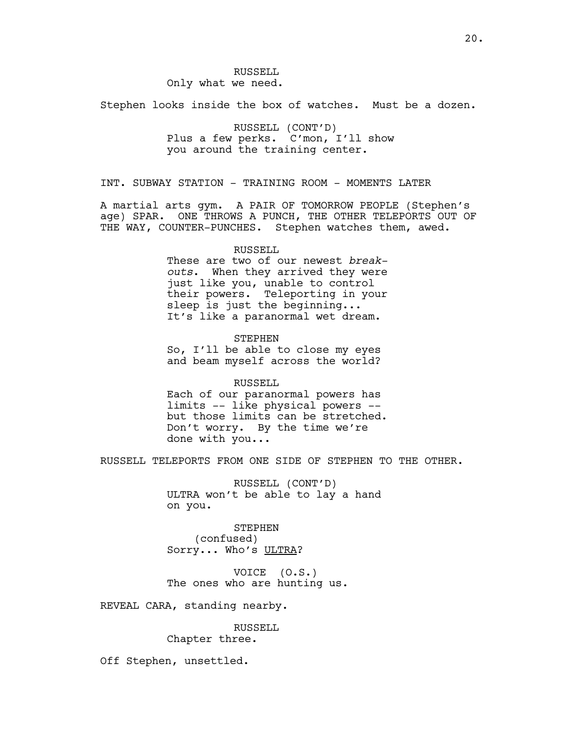Only what we need.

RUSSELL

Stephen looks inside the box of watches. Must be a dozen.

RUSSELL (CONT'D) Plus a few perks. C'mon, I'll show you around the training center.

INT. SUBWAY STATION - TRAINING ROOM - MOMENTS LATER

A martial arts gym. A PAIR OF TOMORROW PEOPLE (Stephen's age) SPAR. ONE THROWS A PUNCH, THE OTHER TELEPORTS OUT OF THE WAY, COUNTER-PUNCHES. Stephen watches them, awed.

# RUSSELL

These are two of our newest *breakouts*. When they arrived they were just like you, unable to control their powers. Teleporting in your sleep is just the beginning... It's like a paranormal wet dream.

**STEPHEN** So, I'll be able to close my eyes and beam myself across the world?

RUSSELL Each of our paranormal powers has limits -- like physical powers - but those limits can be stretched. Don't worry. By the time we're done with you...

RUSSELL TELEPORTS FROM ONE SIDE OF STEPHEN TO THE OTHER.

RUSSELL (CONT'D) ULTRA won't be able to lay a hand on you.

STEPHEN (confused) Sorry... Who's ULTRA?

VOICE (O.S.) The ones who are hunting us.

REVEAL CARA, standing nearby.

RUSSELL Chapter three.

Off Stephen, unsettled.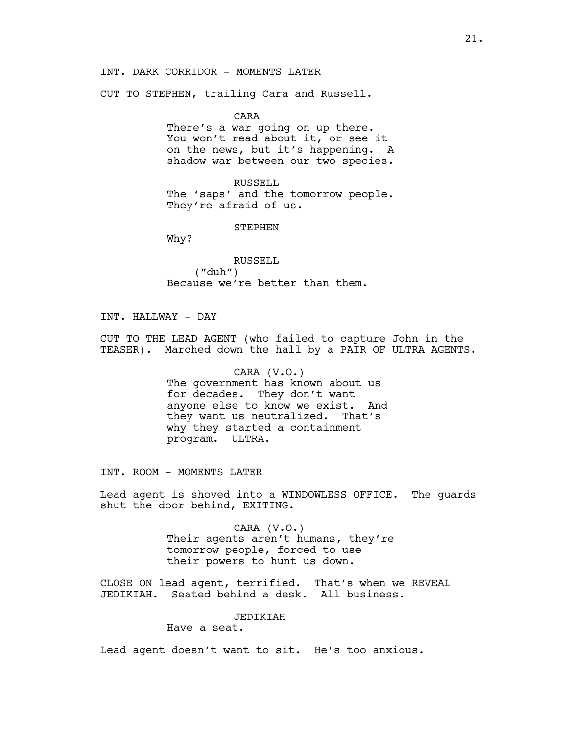# INT. DARK CORRIDOR - MOMENTS LATER

CUT TO STEPHEN, trailing Cara and Russell.

CARA

There's a war going on up there. You won't read about it, or see it on the news, but it's happening. A shadow war between our two species.

RUSSELL The 'saps' and the tomorrow people. They're afraid of us.

STEPHEN

Why?

RUSSELL ("duh") Because we're better than them.

INT. HALLWAY - DAY

CUT TO THE LEAD AGENT (who failed to capture John in the TEASER). Marched down the hall by a PAIR OF ULTRA AGENTS.

> CARA (V.O.) The government has known about us for decades. They don't want anyone else to know we exist. And they want us neutralized. That's why they started a containment program. ULTRA.

INT. ROOM - MOMENTS LATER

Lead agent is shoved into a WINDOWLESS OFFICE. The guards shut the door behind, EXITING.

> CARA (V.O.) Their agents aren't humans, they're tomorrow people, forced to use their powers to hunt us down.

CLOSE ON lead agent, terrified. That's when we REVEAL JEDIKIAH. Seated behind a desk. All business.

JEDIKIAH

Have a seat.

Lead agent doesn't want to sit. He's too anxious.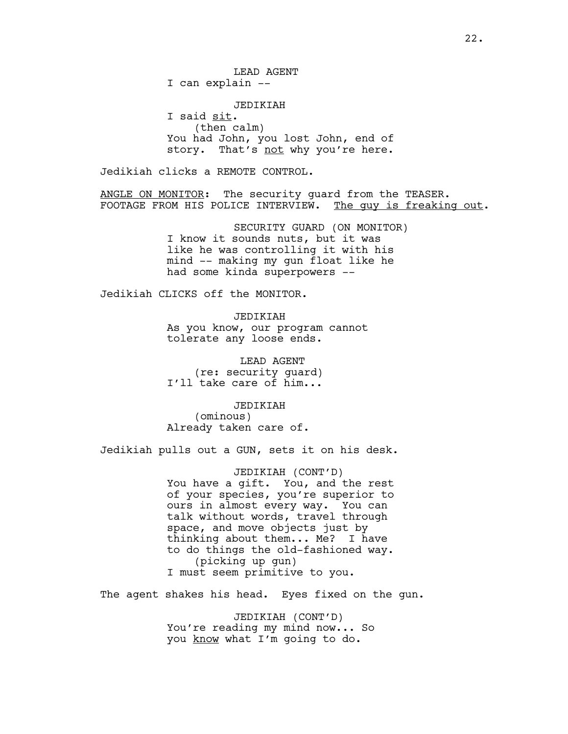LEAD AGENT I can explain --

JEDIKIAH I said sit. (then calm) You had John, you lost John, end of story. That's not why you're here.

Jedikiah clicks a REMOTE CONTROL.

ANGLE ON MONITOR: The security guard from the TEASER. FOOTAGE FROM HIS POLICE INTERVIEW. The guy is freaking out.

> SECURITY GUARD (ON MONITOR) I know it sounds nuts, but it was like he was controlling it with his mind -- making my gun float like he had some kinda superpowers --

Jedikiah CLICKS off the MONITOR.

JEDIKIAH As you know, our program cannot tolerate any loose ends.

 LEAD AGENT (re: security guard) I'll take care of him...

JEDIKIAH (ominous) Already taken care of.

Jedikiah pulls out a GUN, sets it on his desk.

JEDIKIAH (CONT'D) You have a gift. You, and the rest of your species, you're superior to ours in almost every way. You can talk without words, travel through space, and move objects just by thinking about them... Me? I have to do things the old-fashioned way. (picking up gun) I must seem primitive to you.

The agent shakes his head. Eyes fixed on the gun.

JEDIKIAH (CONT'D) You're reading my mind now... So you know what I'm going to do.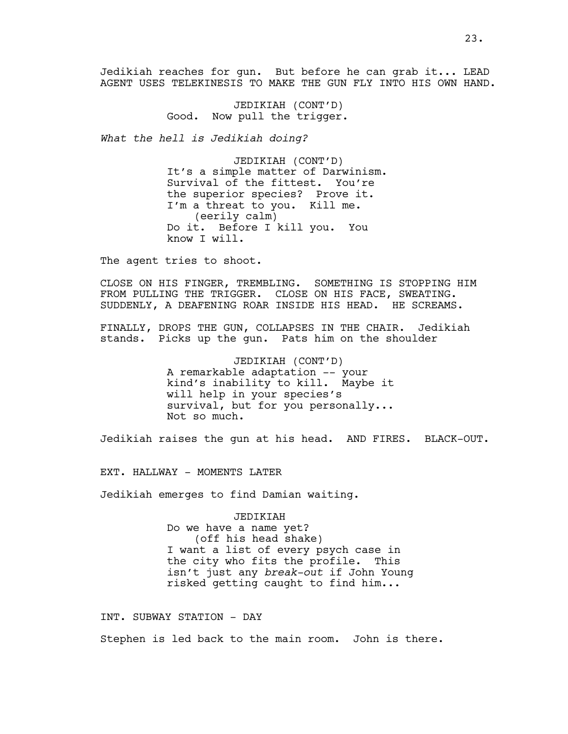Jedikiah reaches for gun. But before he can grab it... LEAD AGENT USES TELEKINESIS TO MAKE THE GUN FLY INTO HIS OWN HAND.

> JEDIKIAH (CONT'D) Good. Now pull the trigger.

*What the hell is Jedikiah doing?* 

JEDIKIAH (CONT'D) It's a simple matter of Darwinism. Survival of the fittest. You're the superior species? Prove it. I'm a threat to you. Kill me. (eerily calm) Do it. Before I kill you. You know I will.

The agent tries to shoot.

CLOSE ON HIS FINGER, TREMBLING. SOMETHING IS STOPPING HIM FROM PULLING THE TRIGGER. CLOSE ON HIS FACE, SWEATING. SUDDENLY, A DEAFENING ROAR INSIDE HIS HEAD. HE SCREAMS.

FINALLY, DROPS THE GUN, COLLAPSES IN THE CHAIR. Jedikiah stands. Picks up the gun. Pats him on the shoulder

> JEDIKIAH (CONT'D) A remarkable adaptation -- your kind's inability to kill. Maybe it will help in your species's survival, but for you personally... Not so much.

Jedikiah raises the gun at his head. AND FIRES. BLACK-OUT.

EXT. HALLWAY - MOMENTS LATER

Jedikiah emerges to find Damian waiting.

JEDIKIAH Do we have a name yet? (off his head shake) I want a list of every psych case in the city who fits the profile. This isn't just any *break-out* if John Young risked getting caught to find him...

INT. SUBWAY STATION - DAY

Stephen is led back to the main room. John is there.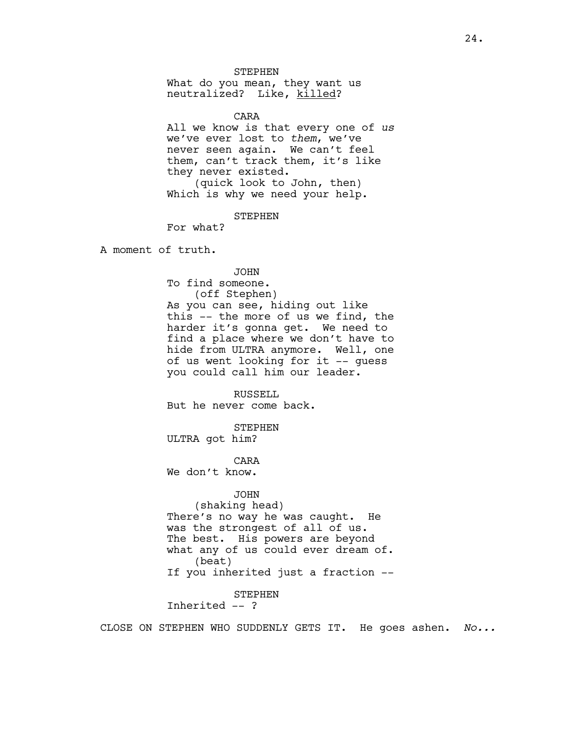STEPHEN

What do you mean, they want us neutralized? Like, killed?

CARA

All we know is that every one of *us* we've ever lost to *them*, we've never seen again. We can't feel them, can't track them, it's like they never existed. (quick look to John, then) Which is why we need your help.

**STEPHEN** 

For what?

A moment of truth.

JOHN To find someone. (off Stephen) As you can see, hiding out like this -- the more of us we find, the harder it's gonna get. We need to find a place where we don't have to hide from ULTRA anymore. Well, one of us went looking for it -- guess you could call him our leader.

RUSSELL But he never come back.

STEPHEN ULTRA got him?

CARA We don't know.

# JOHN

(shaking head) There's no way he was caught. He was the strongest of all of us. The best. His powers are beyond what any of us could ever dream of. (beat) If you inherited just a fraction --

STEPHEN

Inherited -- ?

CLOSE ON STEPHEN WHO SUDDENLY GETS IT. He goes ashen. *No...*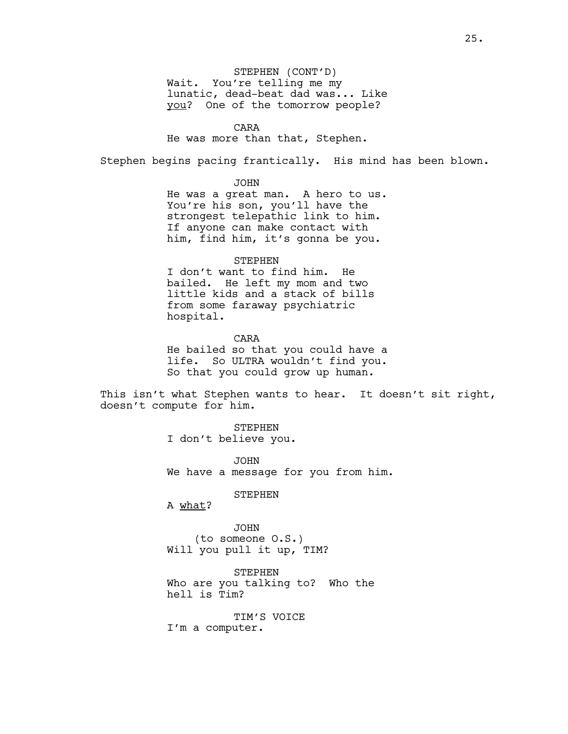STEPHEN (CONT'D) Wait. You're telling me my lunatic, dead-beat dad was... Like you? One of the tomorrow people?

CARA

He was more than that, Stephen.

Stephen begins pacing frantically. His mind has been blown.

JOHN

He was a great man. A hero to us. You're his son, you'll have the strongest telepathic link to him. If anyone can make contact with him, find him, it's gonna be you.

STEPHEN

I don't want to find him. He bailed. He left my mom and two little kids and a stack of bills from some faraway psychiatric hospital.

CARA He bailed so that you could have a life. So ULTRA wouldn't find you. So that you could grow up human.

This isn't what Stephen wants to hear. It doesn't sit right, doesn't compute for him.

> STEPHEN I don't believe you.

JOHN We have a message for you from him.

STEPHEN

A what?

JOHN (to someone O.S.) Will you pull it up, TIM?

STEPHEN Who are you talking to? Who the hell is Tim?

TIM'S VOICE I'm a computer.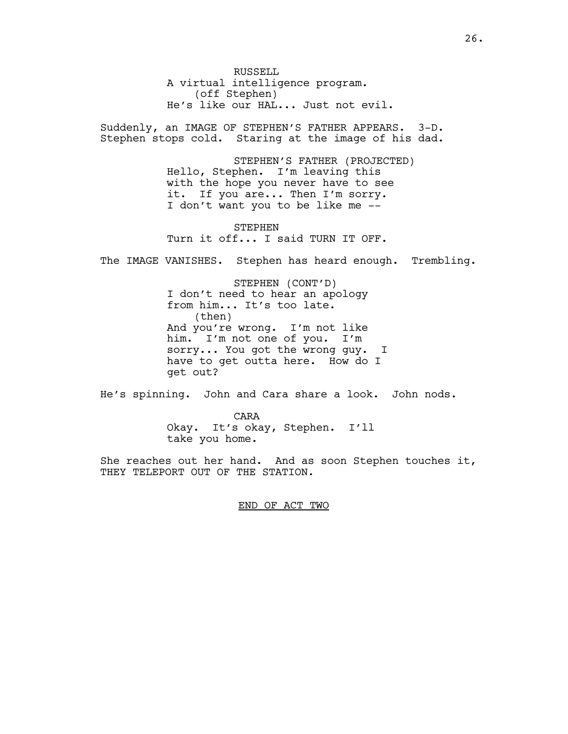RUSSELL A virtual intelligence program. (off Stephen) He's like our HAL... Just not evil.

Suddenly, an IMAGE OF STEPHEN'S FATHER APPEARS. 3-D. Stephen stops cold. Staring at the image of his dad.

> STEPHEN'S FATHER (PROJECTED) Hello, Stephen. I'm leaving this with the hope you never have to see it. If you are... Then I'm sorry. I don't want you to be like me --

STEPHEN Turn it off... I said TURN IT OFF.

The IMAGE VANISHES. Stephen has heard enough. Trembling.

STEPHEN (CONT'D) I don't need to hear an apology from him... It's too late. (then) And you're wrong. I'm not like him. I'm not one of you. I'm sorry... You got the wrong guy. I have to get outta here. How do I get out?

He's spinning. John and Cara share a look. John nods.

CARA Okay. It's okay, Stephen. I'll take you home.

She reaches out her hand. And as soon Stephen touches it, THEY TELEPORT OUT OF THE STATION.

END OF ACT TWO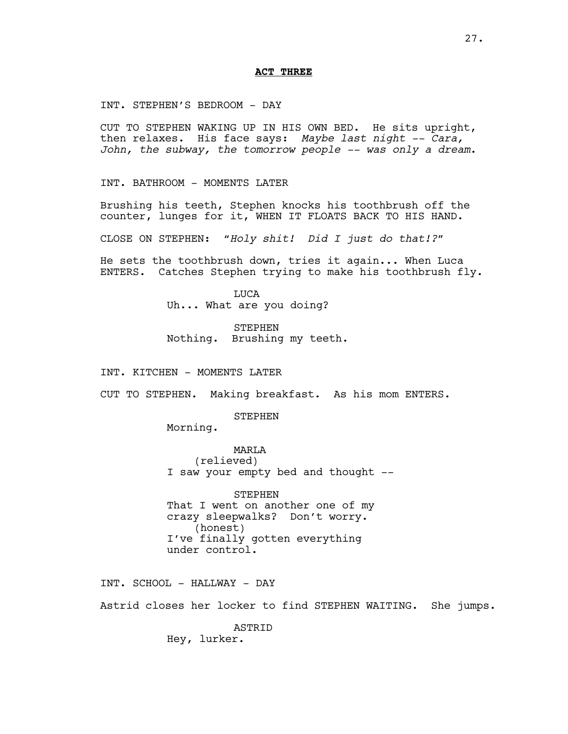#### **ACT THREE**

INT. STEPHEN'S BEDROOM - DAY

CUT TO STEPHEN WAKING UP IN HIS OWN BED. He sits upright, then relaxes. His face says: *Maybe last night -- Cara, John, the subway, the tomorrow people -- was only a dream*.

INT. BATHROOM - MOMENTS LATER

Brushing his teeth, Stephen knocks his toothbrush off the counter, lunges for it, WHEN IT FLOATS BACK TO HIS HAND.

CLOSE ON STEPHEN: *"Holy shit! Did I just do that!?"*

He sets the toothbrush down, tries it again... When Luca ENTERS. Catches Stephen trying to make his toothbrush fly.

> **TJUCA** Uh... What are you doing?

STEPHEN Nothing. Brushing my teeth.

INT. KITCHEN - MOMENTS LATER

CUT TO STEPHEN. Making breakfast. As his mom ENTERS.

**STEPHEN** 

Morning.

MARLA (relieved) I saw your empty bed and thought --

STEPHEN That I went on another one of my crazy sleepwalks? Don't worry. (honest) I've finally gotten everything under control.

INT. SCHOOL - HALLWAY - DAY

Astrid closes her locker to find STEPHEN WAITING. She jumps.

ASTRID Hey, lurker.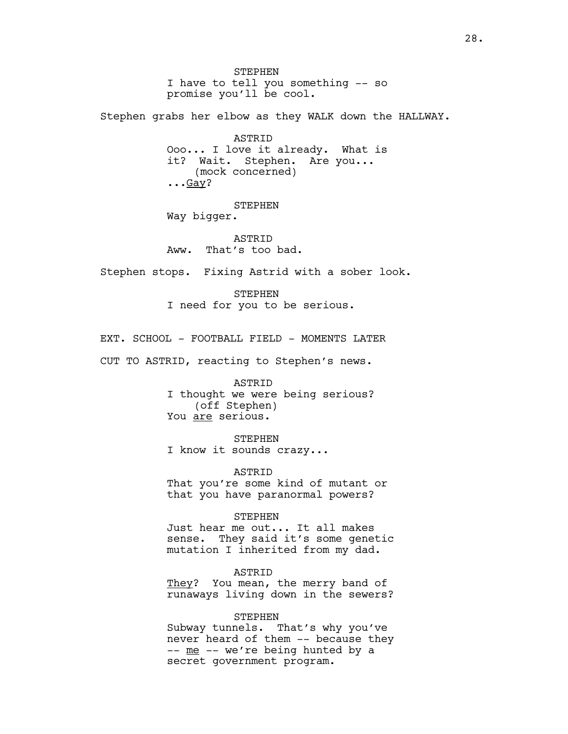**STEPHEN** I have to tell you something -- so promise you'll be cool. Stephen grabs her elbow as they WALK down the HALLWAY. ASTRID Ooo... I love it already. What is it? Wait. Stephen. Are you... (mock concerned)  $\ldots$ Gay? STEPHEN Way bigger. **ASTRID** Aww. That's too bad. Stephen stops. Fixing Astrid with a sober look. STEPHEN I need for you to be serious. EXT. SCHOOL - FOOTBALL FIELD - MOMENTS LATER CUT TO ASTRID, reacting to Stephen's news. ASTRID I thought we were being serious? (off Stephen) You are serious. STEPHEN I know it sounds crazy... ASTRID That you're some kind of mutant or that you have paranormal powers? STEPHEN Just hear me out... It all makes sense. They said it's some genetic mutation I inherited from my dad. ASTRID They? You mean, the merry band of runaways living down in the sewers? STEPHEN Subway tunnels. That's why you've never heard of them -- because they -- me -- we're being hunted by a

secret government program.

28.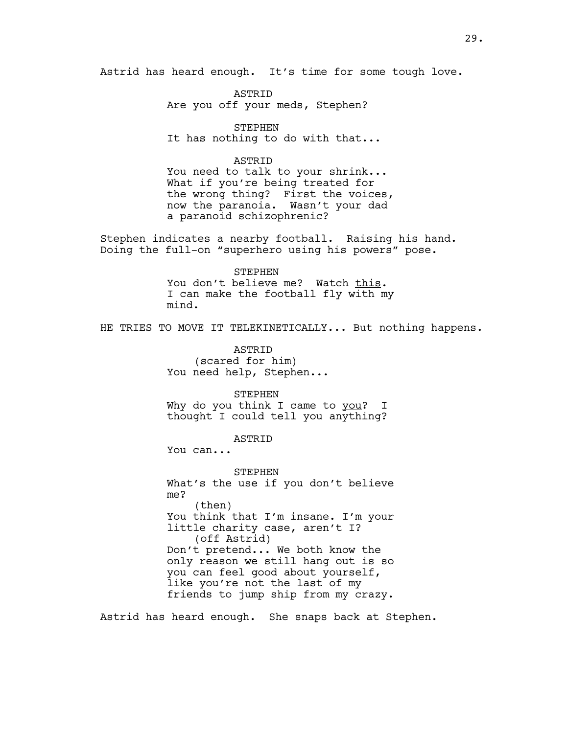Astrid has heard enough. It's time for some tough love.

ASTRID Are you off your meds, Stephen?

STEPHEN It has nothing to do with that...

# ASTRID

You need to talk to your shrink... What if you're being treated for the wrong thing? First the voices, now the paranoia. Wasn't your dad a paranoid schizophrenic?

Stephen indicates a nearby football. Raising his hand. Doing the full-on "superhero using his powers" pose.

# STEPHEN

You don't believe me? Watch this. I can make the football fly with my mind.

HE TRIES TO MOVE IT TELEKINETICALLY... But nothing happens.

ASTRID (scared for him) You need help, Stephen...

STEPHEN Why do you think I came to you? I thought I could tell you anything?

# ASTRID

You can...

STEPHEN What's the use if you don't believe me? (then) You think that I'm insane. I'm your little charity case, aren't I? (off Astrid) Don't pretend... We both know the only reason we still hang out is so you can feel good about yourself, like you're not the last of my friends to jump ship from my crazy.

Astrid has heard enough. She snaps back at Stephen.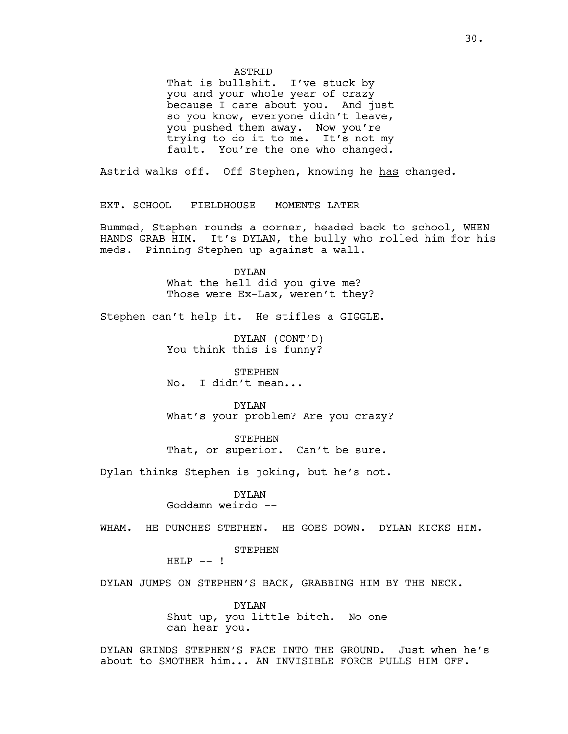**ASTRID** 

That is bullshit. I've stuck by you and your whole year of crazy because I care about you. And just so you know, everyone didn't leave, you pushed them away. Now you're trying to do it to me. It's not my fault. You're the one who changed.

Astrid walks off. Off Stephen, knowing he has changed.

EXT. SCHOOL - FIELDHOUSE - MOMENTS LATER

Bummed, Stephen rounds a corner, headed back to school, WHEN HANDS GRAB HIM. It's DYLAN, the bully who rolled him for his meds. Pinning Stephen up against a wall.

> DYLAN What the hell did you give me? Those were Ex-Lax, weren't they?

Stephen can't help it. He stifles a GIGGLE.

DYLAN (CONT'D) You think this is funny?

STEPHEN No. I didn't mean...

DYLAN What's your problem? Are you crazy?

STEPHEN That, or superior. Can't be sure.

Dylan thinks Stephen is joking, but he's not.

# DYLAN

Goddamn weirdo --

WHAM. HE PUNCHES STEPHEN. HE GOES DOWN. DYLAN KICKS HIM.

STEPHEN

 $HELP$  -- !

DYLAN JUMPS ON STEPHEN'S BACK, GRABBING HIM BY THE NECK.

DYLAN Shut up, you little bitch. No one can hear you.

DYLAN GRINDS STEPHEN'S FACE INTO THE GROUND. Just when he's about to SMOTHER him... AN INVISIBLE FORCE PULLS HIM OFF.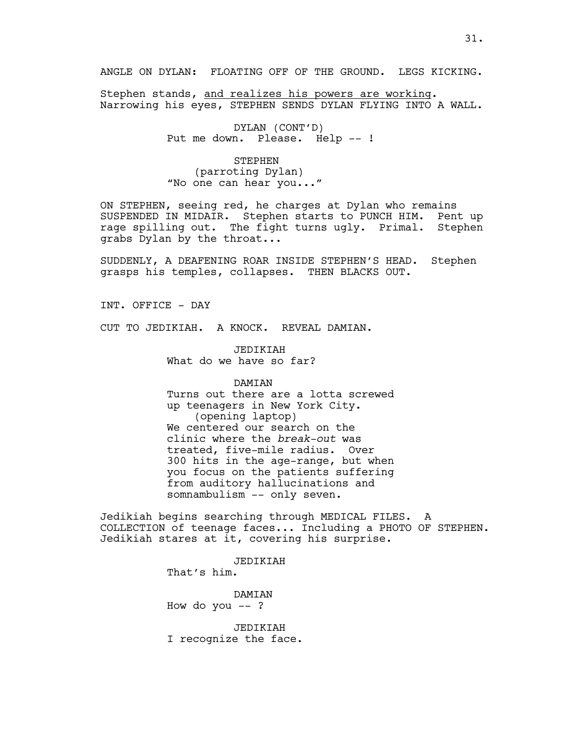ANGLE ON DYLAN: FLOATING OFF OF THE GROUND. LEGS KICKING.

Stephen stands, and realizes his powers are working. Narrowing his eyes, STEPHEN SENDS DYLAN FLYING INTO A WALL.

> DYLAN (CONT'D) Put me down. Please. Help -- !

STEPHEN (parroting Dylan) "No one can hear you..."

ON STEPHEN, seeing red, he charges at Dylan who remains SUSPENDED IN MIDAIR. Stephen starts to PUNCH HIM. Pent up rage spilling out. The fight turns ugly. Primal. Stephen grabs Dylan by the throat...

SUDDENLY, A DEAFENING ROAR INSIDE STEPHEN'S HEAD. Stephen grasps his temples, collapses. THEN BLACKS OUT.

INT. OFFICE - DAY

CUT TO JEDIKIAH. A KNOCK. REVEAL DAMIAN.

JEDIKIAH What do we have so far?

DAMIAN

Turns out there are a lotta screwed up teenagers in New York City. (opening laptop) We centered our search on the clinic where the *break-out* was treated, five-mile radius. Over 300 hits in the age-range, but when you focus on the patients suffering from auditory hallucinations and somnambulism -- only seven.

Jedikiah begins searching through MEDICAL FILES. A COLLECTION of teenage faces... Including a PHOTO OF STEPHEN. Jedikiah stares at it, covering his surprise.

> JEDIKIAH That's him.

DAMIAN How do you  $--$  ?

JEDIKIAH I recognize the face.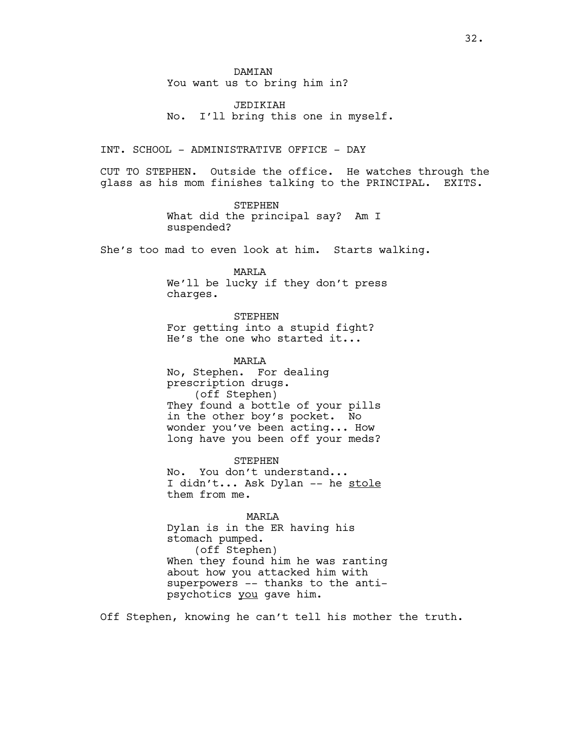**DAMTAN** You want us to bring him in?

JEDIKIAH No. I'll bring this one in myself.

#### INT. SCHOOL - ADMINISTRATIVE OFFICE - DAY

CUT TO STEPHEN. Outside the office. He watches through the glass as his mom finishes talking to the PRINCIPAL. EXITS.

> STEPHEN What did the principal say? Am I suspended?

She's too mad to even look at him. Starts walking.

MARLA We'll be lucky if they don't press charges.

STEPHEN For getting into a stupid fight? He's the one who started it...

MARLA No, Stephen. For dealing prescription drugs. (off Stephen) They found a bottle of your pills in the other boy's pocket. No wonder you've been acting... How long have you been off your meds?

**STEPHEN** No. You don't understand... I didn't... Ask Dylan -- he stole them from me.

MARLA

Dylan is in the ER having his stomach pumped. (off Stephen) When they found him he was ranting about how you attacked him with superpowers -- thanks to the antipsychotics you gave him.

Off Stephen, knowing he can't tell his mother the truth.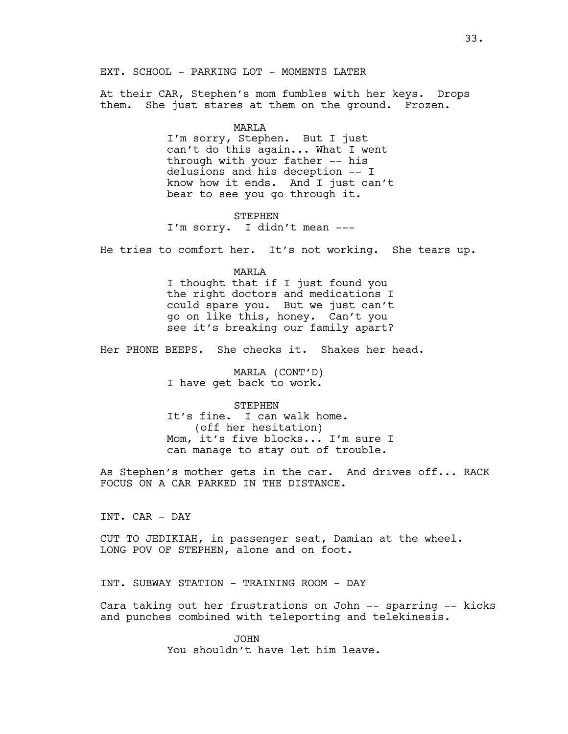EXT. SCHOOL - PARKING LOT - MOMENTS LATER

At their CAR, Stephen's mom fumbles with her keys. Drops them. She just stares at them on the ground. Frozen.

#### MARLA

I'm sorry, Stephen. But I just can't do this again... What I went through with your father -- his delusions and his deception -- I know how it ends. And I just can't bear to see you go through it.

# STEPHEN

I'm sorry. I didn't mean ---

He tries to comfort her. It's not working. She tears up.

#### MARLA

I thought that if I just found you the right doctors and medications I could spare you. But we just can't go on like this, honey. Can't you see it's breaking our family apart?

Her PHONE BEEPS. She checks it. Shakes her head.

MARLA (CONT'D) I have get back to work.

#### STEPHEN

It's fine. I can walk home. (off her hesitation) Mom, it's five blocks... I'm sure I can manage to stay out of trouble.

As Stephen's mother gets in the car. And drives off... RACK FOCUS ON A CAR PARKED IN THE DISTANCE.

INT. CAR - DAY

CUT TO JEDIKIAH, in passenger seat, Damian at the wheel. LONG POV OF STEPHEN, alone and on foot.

INT. SUBWAY STATION - TRAINING ROOM - DAY

Cara taking out her frustrations on John -- sparring -- kicks and punches combined with teleporting and telekinesis.

> JOHN You shouldn't have let him leave.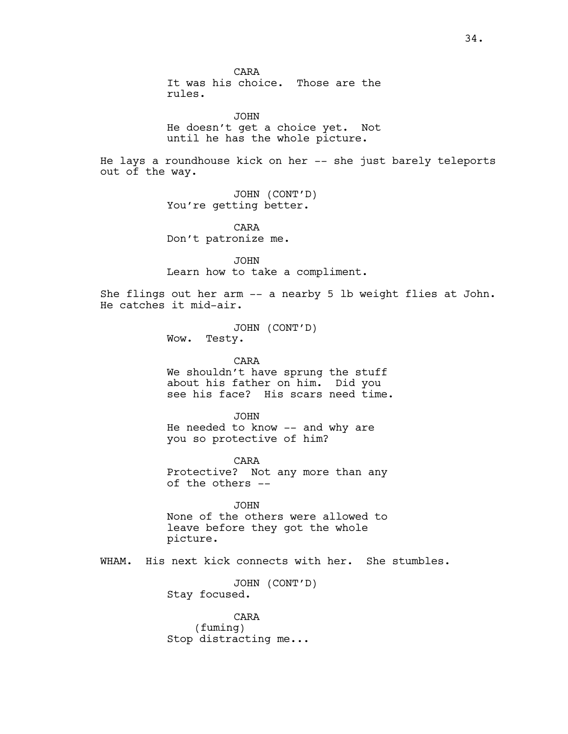JOHN He doesn't get a choice yet. Not until he has the whole picture. He lays a roundhouse kick on her -- she just barely teleports out of the way. JOHN (CONT'D) You're getting better. CARA Don't patronize me. JOHN Learn how to take a compliment. She flings out her arm -- a nearby 5 lb weight flies at John. He catches it mid-air. JOHN (CONT'D) Wow. Testy. CARA We shouldn't have sprung the stuff about his father on him. Did you see his face? His scars need time. JOHN He needed to know -- and why are you so protective of him? CARA Protective? Not any more than any of the others -- JOHN None of the others were allowed to leave before they got the whole picture. WHAM. His next kick connects with her. She stumbles. JOHN (CONT'D) Stay focused. CARA (fuming) Stop distracting me...

CARA

rules.

It was his choice. Those are the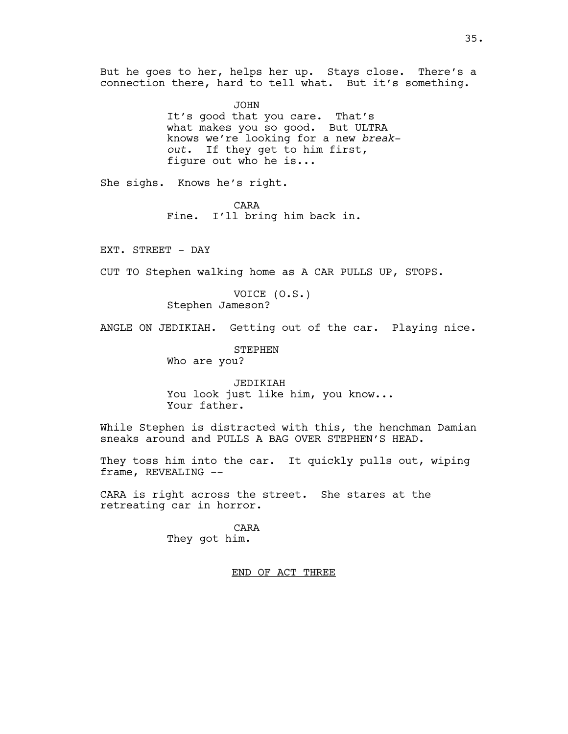But he goes to her, helps her up. Stays close. There's a connection there, hard to tell what. But it's something.

> JOHN It's good that you care. That's what makes you so good. But ULTRA knows we're looking for a new *breakout*. If they get to him first, figure out who he is...

She sighs. Knows he's right.

CARA Fine. I'll bring him back in.

EXT. STREET - DAY

CUT TO Stephen walking home as A CAR PULLS UP, STOPS.

VOICE (O.S.) Stephen Jameson?

ANGLE ON JEDIKIAH. Getting out of the car. Playing nice.

STEPHEN

Who are you?

JEDIKIAH You look just like him, you know... Your father.

While Stephen is distracted with this, the henchman Damian sneaks around and PULLS A BAG OVER STEPHEN'S HEAD.

They toss him into the car. It quickly pulls out, wiping frame, REVEALING --

CARA is right across the street. She stares at the retreating car in horror.

> CARA They got him.

> > END OF ACT THREE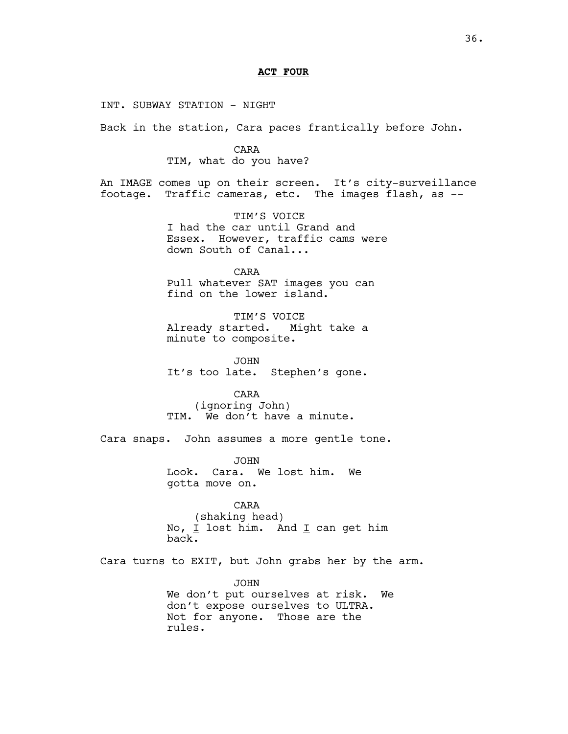# **ACT FOUR**

INT. SUBWAY STATION - NIGHT

Back in the station, Cara paces frantically before John.

CARA TIM, what do you have?

An IMAGE comes up on their screen. It's city-surveillance footage. Traffic cameras, etc. The images flash, as --

> TIM'S VOICE I had the car until Grand and Essex. However, traffic cams were down South of Canal...

CARA Pull whatever SAT images you can find on the lower island.

TIM'S VOICE Already started. Might take a minute to composite.

JOHN It's too late. Stephen's gone.

CARA (ignoring John) TIM. We don't have a minute.

Cara snaps. John assumes a more gentle tone.

JOHN Look. Cara. We lost him. We gotta move on.

CARA (shaking head) No,  $I$  lost him. And  $I$  can get him back.

Cara turns to EXIT, but John grabs her by the arm.

JOHN We don't put ourselves at risk. We don't expose ourselves to ULTRA. Not for anyone. Those are the rules.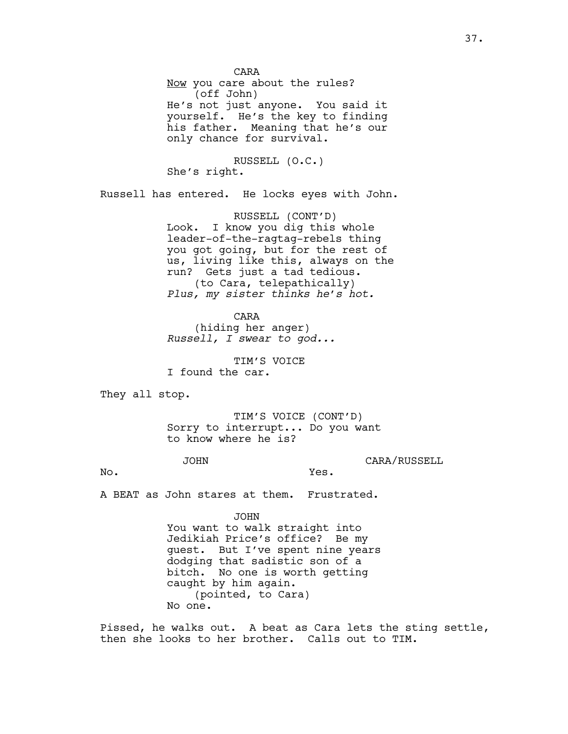CARA Now you care about the rules? (off John) He's not just anyone. You said it yourself. He's the key to finding his father. Meaning that he's our only chance for survival.

RUSSELL (O.C.) She's right.

Russell has entered. He locks eyes with John.

RUSSELL (CONT'D) Look. I know you dig this whole leader-of-the-ragtag-rebels thing you got going, but for the rest of us, living like this, always on the run? Gets just a tad tedious. (to Cara, telepathically) *Plus, my sister thinks he's hot.*

CARA (hiding her anger) *Russell, I swear to god...*

TIM'S VOICE I found the car.

They all stop.

TIM'S VOICE (CONT'D) Sorry to interrupt... Do you want to know where he is?

Yes.

JOHN

CARA/RUSSELL

No.

A BEAT as John stares at them. Frustrated.

JOHN

You want to walk straight into Jedikiah Price's office? Be my guest. But I've spent nine years dodging that sadistic son of a bitch. No one is worth getting caught by him again. (pointed, to Cara) No one.

Pissed, he walks out. A beat as Cara lets the sting settle, then she looks to her brother. Calls out to TIM.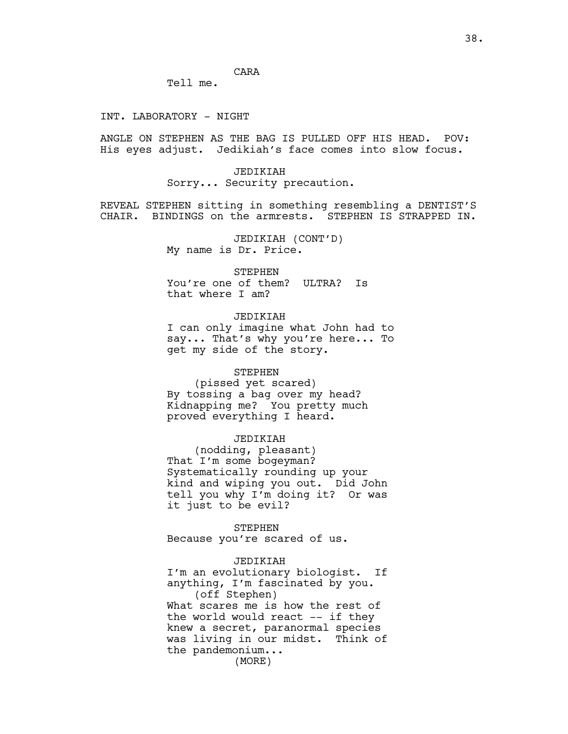CARA

Tell me.

#### INT. LABORATORY - NIGHT

ANGLE ON STEPHEN AS THE BAG IS PULLED OFF HIS HEAD. POV: His eyes adjust. Jedikiah's face comes into slow focus.

> JEDIKIAH Sorry... Security precaution.

REVEAL STEPHEN sitting in something resembling a DENTIST'S CHAIR. BINDINGS on the armrests. STEPHEN IS STRAPPED IN.

> JEDIKIAH (CONT'D) My name is Dr. Price.

> > STEPHEN

You're one of them? ULTRA? Is that where I am?

# JEDIKIAH

I can only imagine what John had to say... That's why you're here... To get my side of the story.

#### STEPHEN

(pissed yet scared) By tossing a bag over my head? Kidnapping me? You pretty much proved everything I heard.

# JEDIKIAH

(nodding, pleasant) That I'm some bogeyman? Systematically rounding up your kind and wiping you out. Did John tell you why I'm doing it? Or was it just to be evil?

STEPHEN Because you're scared of us.

# JEDIKIAH

I'm an evolutionary biologist. If anything, I'm fascinated by you. (off Stephen) What scares me is how the rest of the world would react -- if they knew a secret, paranormal species was living in our midst. Think of the pandemonium...

(MORE)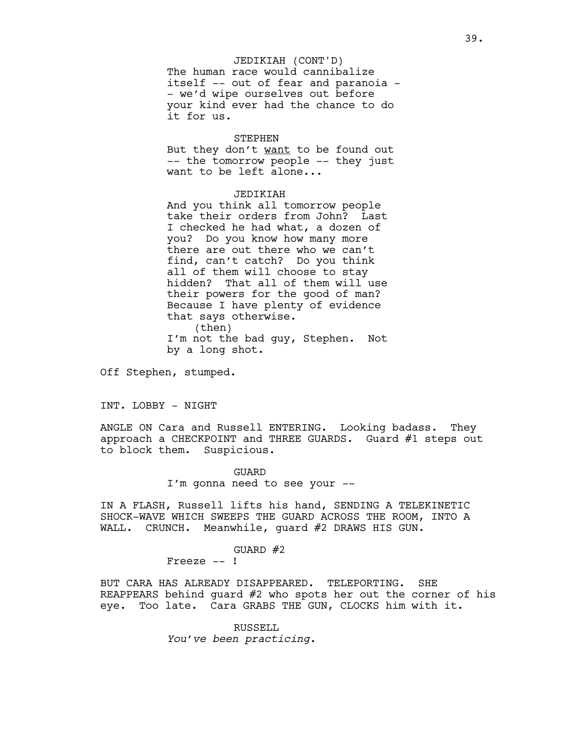# JEDIKIAH (CONT'D)

The human race would cannibalize itself -- out of fear and paranoia - - we'd wipe ourselves out before your kind ever had the chance to do it for us.

#### STEPHEN

But they don't want to be found out -- the tomorrow people -- they just want to be left alone...

# JEDIKIAH

And you think all tomorrow people take their orders from John? Last I checked he had what, a dozen of you? Do you know how many more there are out there who we can't find, can't catch? Do you think all of them will choose to stay hidden? That all of them will use their powers for the good of man? Because I have plenty of evidence that says otherwise. (then) I'm not the bad guy, Stephen. Not by a long shot.

Off Stephen, stumped.

# INT. LOBBY - NIGHT

ANGLE ON Cara and Russell ENTERING. Looking badass. They approach a CHECKPOINT and THREE GUARDS. Guard #1 steps out to block them. Suspicious.

> GUARD I'm gonna need to see your --

IN A FLASH, Russell lifts his hand, SENDING A TELEKINETIC SHOCK-WAVE WHICH SWEEPS THE GUARD ACROSS THE ROOM, INTO A WALL. CRUNCH. Meanwhile, guard #2 DRAWS HIS GUN.

#### GUARD #2

Freeze -- !

BUT CARA HAS ALREADY DISAPPEARED. TELEPORTING. SHE REAPPEARS behind guard #2 who spots her out the corner of his eye. Too late. Cara GRABS THE GUN, CLOCKS him with it.

> RUSSELL *You've been practicing.*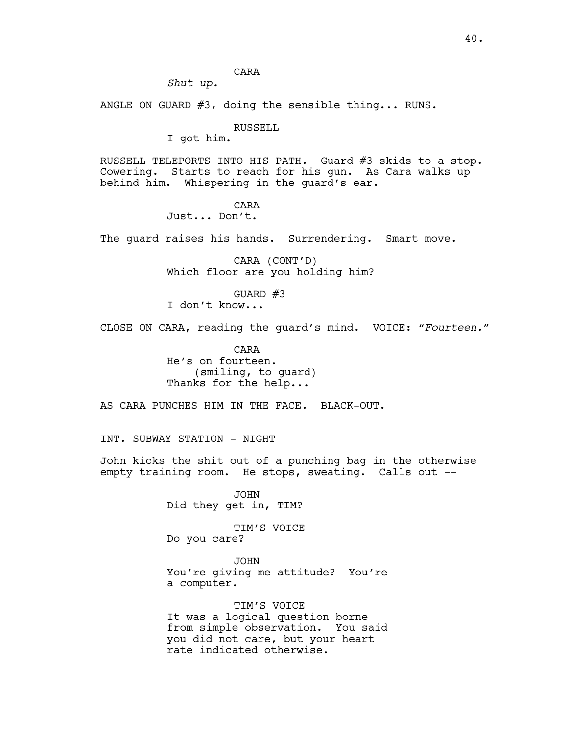CARA

*Shut up.*

ANGLE ON GUARD #3, doing the sensible thing... RUNS.

RUSSELL

I got him.

RUSSELL TELEPORTS INTO HIS PATH. Guard #3 skids to a stop. Cowering. Starts to reach for his gun. As Cara walks up behind him. Whispering in the guard's ear.

# CARA

Just... Don't.

The guard raises his hands. Surrendering. Smart move.

CARA (CONT'D) Which floor are you holding him?

GUARD  $#3$ I don't know...

CLOSE ON CARA, reading the guard's mind. VOICE: *"Fourteen."*

CARA He's on fourteen. (smiling, to guard) Thanks for the help...

AS CARA PUNCHES HIM IN THE FACE. BLACK-OUT.

INT. SUBWAY STATION - NIGHT

John kicks the shit out of a punching bag in the otherwise empty training room. He stops, sweating. Calls out --

> JOHN Did they get in, TIM?

TIM'S VOICE Do you care?

JOHN You're giving me attitude? You're a computer.

TIM'S VOICE It was a logical question borne from simple observation. You said you did not care, but your heart rate indicated otherwise.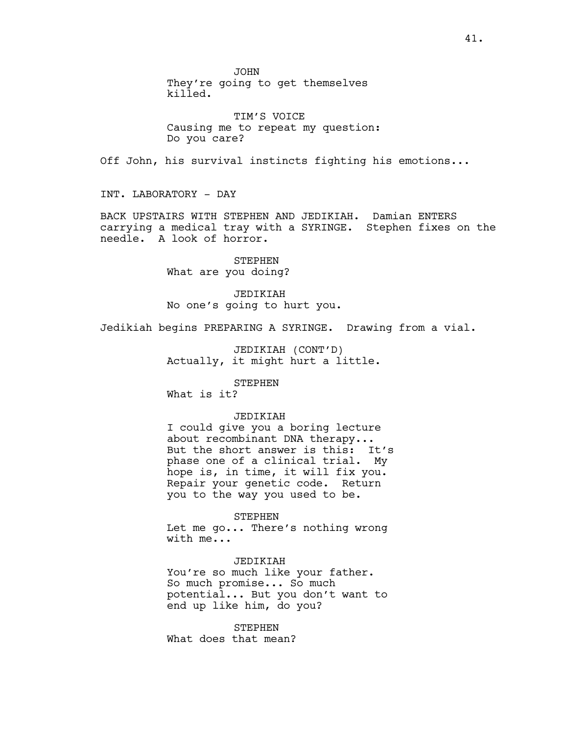JOHN

They're going to get themselves killed.

TIM'S VOICE Causing me to repeat my question: Do you care?

Off John, his survival instincts fighting his emotions...

INT. LABORATORY - DAY

BACK UPSTAIRS WITH STEPHEN AND JEDIKIAH. Damian ENTERS carrying a medical tray with a SYRINGE. Stephen fixes on the needle. A look of horror.

> STEPHEN What are you doing?

JEDIKIAH No one's going to hurt you.

Jedikiah begins PREPARING A SYRINGE. Drawing from a vial.

JEDIKIAH (CONT'D) Actually, it might hurt a little.

STEPHEN

What is it?

# JEDIKIAH

I could give you a boring lecture about recombinant DNA therapy... But the short answer is this: It's phase one of a clinical trial. My hope is, in time, it will fix you. Repair your genetic code. Return you to the way you used to be.

STEPHEN

Let me go... There's nothing wrong with me...

JEDIKIAH

You're so much like your father. So much promise... So much potential... But you don't want to end up like him, do you?

STEPHEN What does that mean?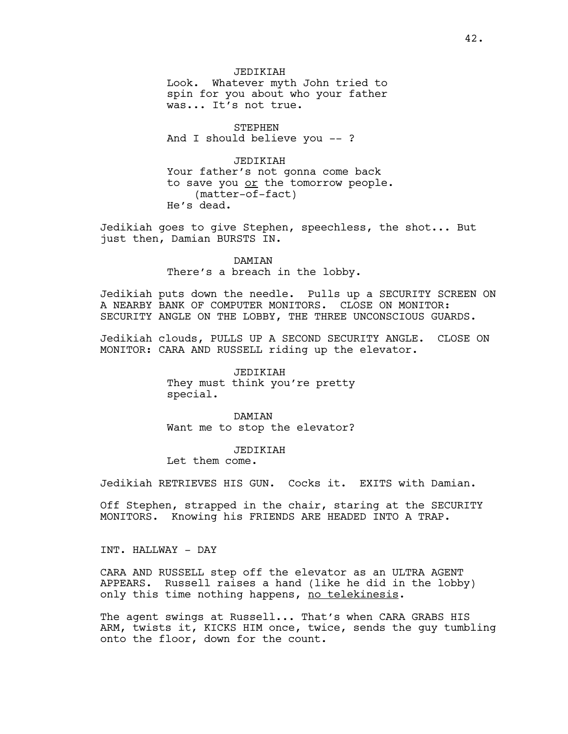JEDIKIAH Look. Whatever myth John tried to spin for you about who your father was... It's not true.

STEPHEN And I should believe you -- ?

JEDIKIAH Your father's not gonna come back to save you or the tomorrow people. (matter-of-fact) He's dead.

Jedikiah goes to give Stephen, speechless, the shot... But just then, Damian BURSTS IN.

> DAMIAN There's a breach in the lobby.

Jedikiah puts down the needle. Pulls up a SECURITY SCREEN ON A NEARBY BANK OF COMPUTER MONITORS. CLOSE ON MONITOR: SECURITY ANGLE ON THE LOBBY, THE THREE UNCONSCIOUS GUARDS.

Jedikiah clouds, PULLS UP A SECOND SECURITY ANGLE. CLOSE ON MONITOR: CARA AND RUSSELL riding up the elevator.

> JEDIKIAH They must think you're pretty special.

> **DAMTAN** Want me to stop the elevator?

> > JEDIKIAH

Let them come.

Jedikiah RETRIEVES HIS GUN. Cocks it. EXITS with Damian.

Off Stephen, strapped in the chair, staring at the SECURITY MONITORS. Knowing his FRIENDS ARE HEADED INTO A TRAP.

INT. HALLWAY - DAY

CARA AND RUSSELL step off the elevator as an ULTRA AGENT APPEARS. Russell raises a hand (like he did in the lobby) only this time nothing happens, no telekinesis.

The agent swings at Russell... That's when CARA GRABS HIS ARM, twists it, KICKS HIM once, twice, sends the guy tumbling onto the floor, down for the count.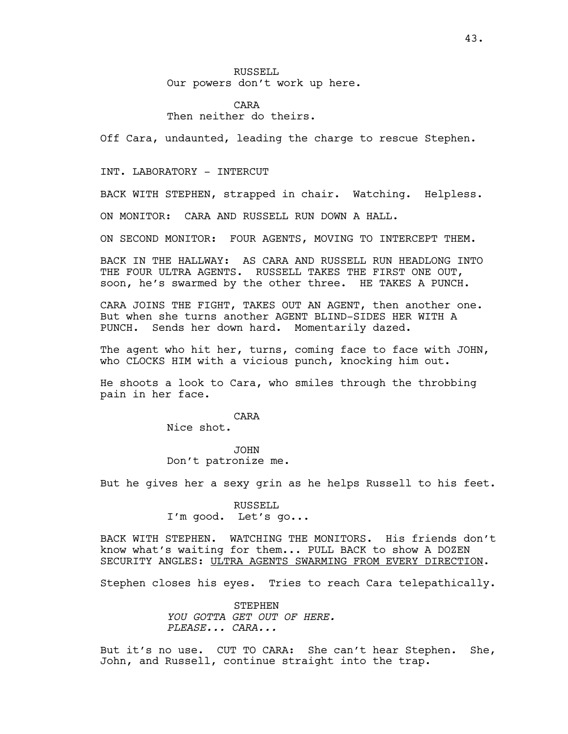RUSSELL Our powers don't work up here.

CARA Then neither do theirs.

Off Cara, undaunted, leading the charge to rescue Stephen.

INT. LABORATORY - INTERCUT

BACK WITH STEPHEN, strapped in chair. Watching. Helpless.

ON MONITOR: CARA AND RUSSELL RUN DOWN A HALL.

ON SECOND MONITOR: FOUR AGENTS, MOVING TO INTERCEPT THEM.

BACK IN THE HALLWAY: AS CARA AND RUSSELL RUN HEADLONG INTO THE FOUR ULTRA AGENTS. RUSSELL TAKES THE FIRST ONE OUT, soon, he's swarmed by the other three. HE TAKES A PUNCH.

CARA JOINS THE FIGHT, TAKES OUT AN AGENT, then another one. But when she turns another AGENT BLIND-SIDES HER WITH A PUNCH. Sends her down hard. Momentarily dazed.

The agent who hit her, turns, coming face to face with JOHN, who CLOCKS HIM with a vicious punch, knocking him out.

He shoots a look to Cara, who smiles through the throbbing pain in her face.

CARA

Nice shot.

JOHN Don't patronize me.

But he gives her a sexy grin as he helps Russell to his feet.

RUSSELL I'm good. Let's go...

BACK WITH STEPHEN. WATCHING THE MONITORS. His friends don't know what's waiting for them... PULL BACK to show A DOZEN SECURITY ANGLES: ULTRA AGENTS SWARMING FROM EVERY DIRECTION.

Stephen closes his eyes. Tries to reach Cara telepathically.

STEPHEN *YOU GOTTA GET OUT OF HERE. PLEASE... CARA...*

But it's no use. CUT TO CARA: She can't hear Stephen. She, John, and Russell, continue straight into the trap.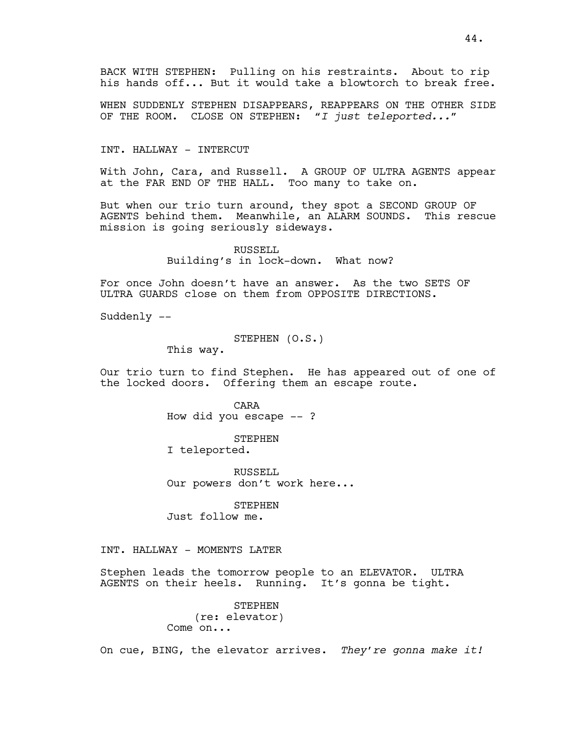BACK WITH STEPHEN: Pulling on his restraints. About to rip his hands off... But it would take a blowtorch to break free.

WHEN SUDDENLY STEPHEN DISAPPEARS, REAPPEARS ON THE OTHER SIDE OF THE ROOM. CLOSE ON STEPHEN: *"I just teleported..."* 

#### INT. HALLWAY - INTERCUT

With John, Cara, and Russell. A GROUP OF ULTRA AGENTS appear at the FAR END OF THE HALL. Too many to take on.

But when our trio turn around, they spot a SECOND GROUP OF AGENTS behind them. Meanwhile, an ALARM SOUNDS. This rescue mission is going seriously sideways.

> RUSSELL Building's in lock-down.What now?

For once John doesn't have an answer. As the two SETS OF ULTRA GUARDS close on them from OPPOSITE DIRECTIONS.

Suddenly --

```
STEPHEN (O.S.)
```
This way.

Our trio turn to find Stephen. He has appeared out of one of the locked doors. Offering them an escape route.

> CARA How did you escape -- ?

#### STEPHEN

I teleported.

RUSSELL<sub>L</sub> Our powers don't work here...

STEPHEN Just follow me.

INT. HALLWAY - MOMENTS LATER

Stephen leads the tomorrow people to an ELEVATOR. ULTRA AGENTS on their heels. Running. It's gonna be tight.

> STEPHEN (re: elevator) Come on...

On cue, BING, the elevator arrives. *They're gonna make it!*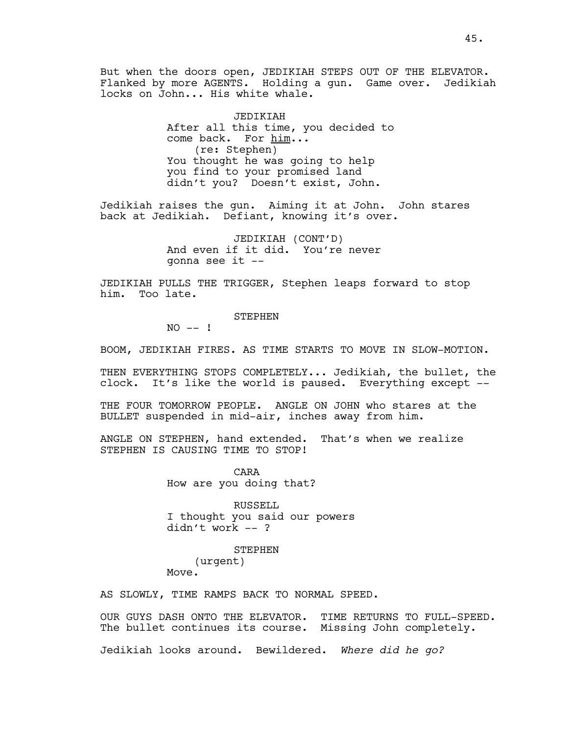But when the doors open, JEDIKIAH STEPS OUT OF THE ELEVATOR. Flanked by more AGENTS. Holding a gun. Game over. Jedikiah locks on John... His white whale.

> JEDIKIAH After all this time, you decided to come back. For him... (re: Stephen) You thought he was going to help you find to your promised land didn't you? Doesn't exist, John.

Jedikiah raises the gun. Aiming it at John. John stares back at Jedikiah. Defiant, knowing it's over.

> JEDIKIAH (CONT'D) And even if it did. You're never gonna see it --

JEDIKIAH PULLS THE TRIGGER, Stephen leaps forward to stop him. Too late.

**STEPHEN** 

 $NO$  -- !

BOOM, JEDIKIAH FIRES. AS TIME STARTS TO MOVE IN SLOW-MOTION.

THEN EVERYTHING STOPS COMPLETELY... Jedikiah, the bullet, the clock. It's like the world is paused. Everything except --

THE FOUR TOMORROW PEOPLE. ANGLE ON JOHN who stares at the BULLET suspended in mid-air, inches away from him.

ANGLE ON STEPHEN, hand extended. That's when we realize STEPHEN IS CAUSING TIME TO STOP!

> CARA How are you doing that?

RUSSELL I thought you said our powers didn't work -- ?

STEPHEN (urgent) Move.

AS SLOWLY, TIME RAMPS BACK TO NORMAL SPEED.

OUR GUYS DASH ONTO THE ELEVATOR. TIME RETURNS TO FULL-SPEED. The bullet continues its course. Missing John completely.

Jedikiah looks around. Bewildered. *Where did he go?*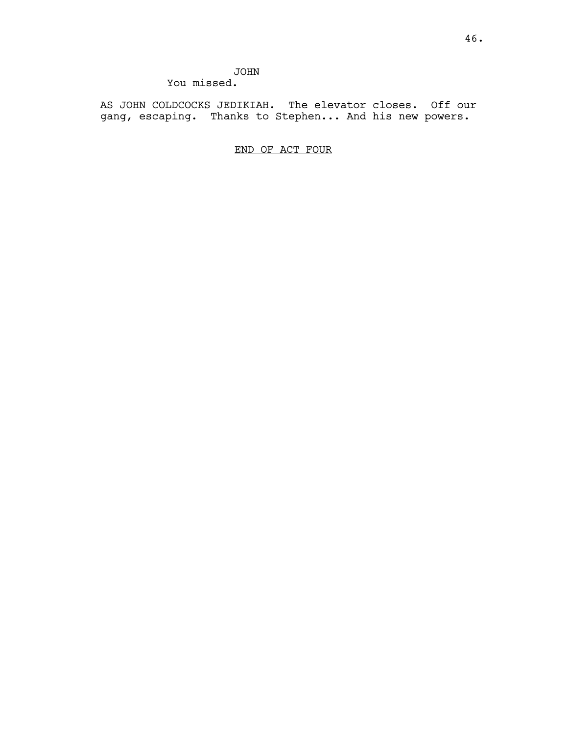# JOHN You missed.

AS JOHN COLDCOCKS JEDIKIAH. The elevator closes. Off our gang, escaping. Thanks to Stephen... And his new powers.

END OF ACT FOUR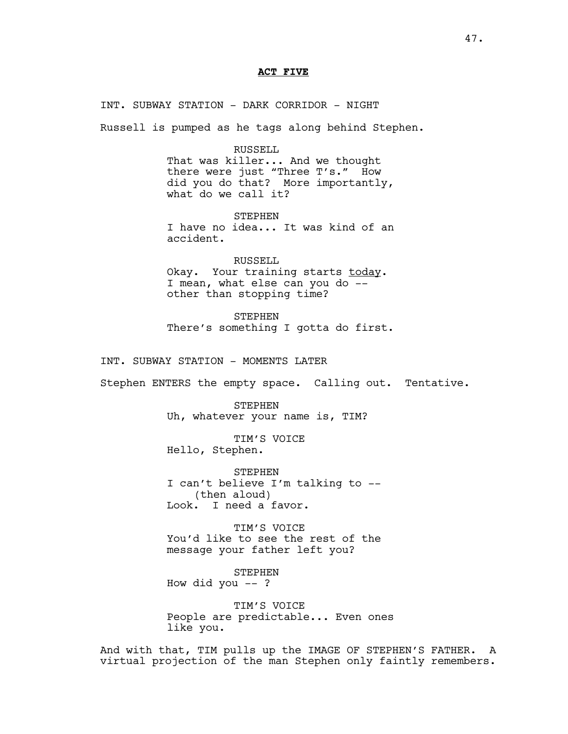#### **ACT FIVE**

INT. SUBWAY STATION - DARK CORRIDOR - NIGHT Russell is pumped as he tags along behind Stephen. RUSSELL That was killer... And we thought there were just "Three T's." How did you do that? More importantly, what do we call it? **STEPHEN** I have no idea... It was kind of an accident. RUSSELL Okay. Your training starts today. I mean, what else can you do - other than stopping time? **STEPHEN** There's something I gotta do first. INT. SUBWAY STATION - MOMENTS LATER Stephen ENTERS the empty space. Calling out. Tentative. STEPHEN Uh, whatever your name is, TIM? TIM'S VOICE Hello, Stephen. STEPHEN I can't believe I'm talking to -- (then aloud) Look. I need a favor. TIM'S VOICE

You'd like to see the rest of the message your father left you?

STEPHEN How did you  $--$  ?

TIM'S VOICE People are predictable... Even ones like you.

And with that, TIM pulls up the IMAGE OF STEPHEN'S FATHER. A virtual projection of the man Stephen only faintly remembers.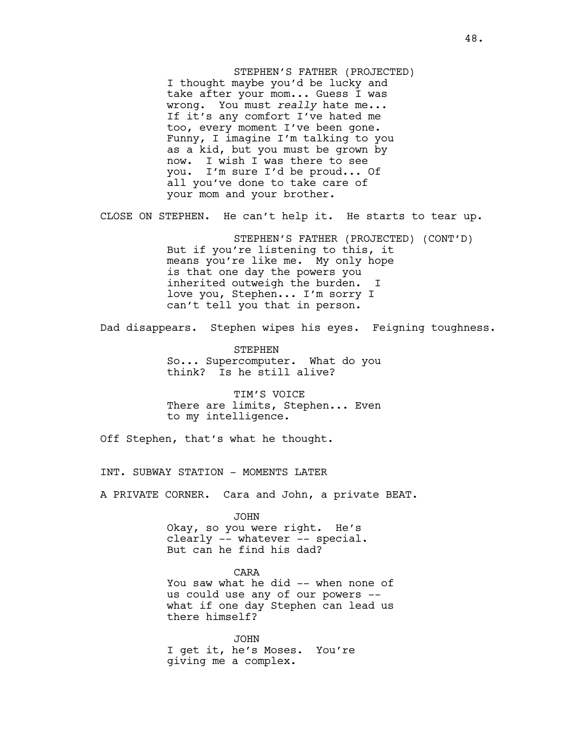STEPHEN'S FATHER (PROJECTED) I thought maybe you'd be lucky and take after your mom... Guess I was wrong. You must *really* hate me... If it's any comfort I've hated me too, every moment I've been gone. Funny, I imagine I'm talking to you as a kid, but you must be grown by now. I wish I was there to see you. I'm sure I'd be proud... Of all you've done to take care of your mom and your brother.

CLOSE ON STEPHEN. He can't help it. He starts to tear up.

STEPHEN'S FATHER (PROJECTED) (CONT'D) But if you're listening to this, it means you're like me. My only hope is that one day the powers you inherited outweigh the burden. I love you, Stephen... I'm sorry I can't tell you that in person.

Dad disappears. Stephen wipes his eyes. Feigning toughness.

STEPHEN So... Supercomputer. What do you think? Is he still alive?

TIM'S VOICE There are limits, Stephen... Even to my intelligence.

Off Stephen, that's what he thought.

INT. SUBWAY STATION - MOMENTS LATER

A PRIVATE CORNER. Cara and John, a private BEAT.

JOHN Okay, so you were right. He's clearly -- whatever -- special. But can he find his dad?

CARA You saw what he did -- when none of us could use any of our powers - what if one day Stephen can lead us there himself?

JOHN I get it, he's Moses. You're giving me a complex.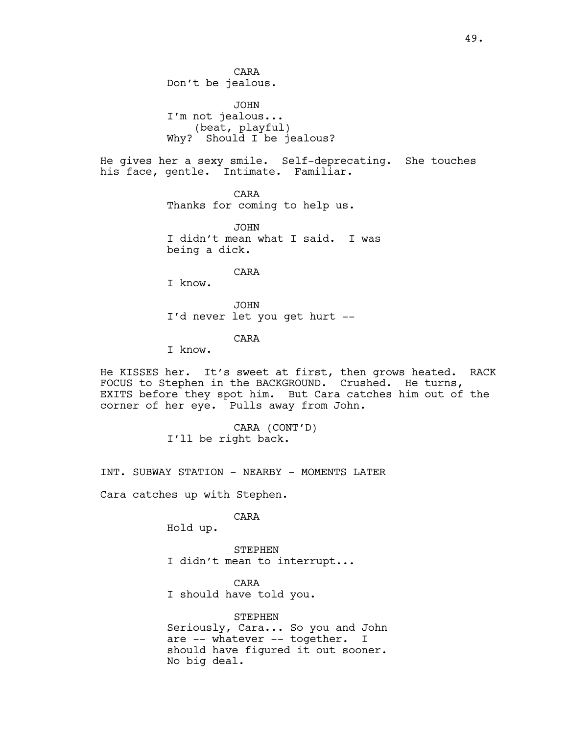CARA Don't be jealous. JOHN I'm not jealous... (beat, playful) Why? Should I be jealous? He gives her a sexy smile. Self-deprecating. She touches his face, gentle. Intimate. Familiar. CARA Thanks for coming to help us. JOHN I didn't mean what I said. I was being a dick. CARA I know. JOHN I'd never let you get hurt -- CARA I know. He KISSES her. It's sweet at first, then grows heated. RACK

FOCUS to Stephen in the BACKGROUND. Crushed. He turns, EXITS before they spot him. But Cara catches him out of the corner of her eye. Pulls away from John.

> CARA (CONT'D) I'll be right back.

INT. SUBWAY STATION - NEARBY - MOMENTS LATER

Cara catches up with Stephen.

CARA

Hold up.

STEPHEN I didn't mean to interrupt...

CARA I should have told you.

STEPHEN Seriously, Cara... So you and John are -- whatever -- together. I should have figured it out sooner. No big deal.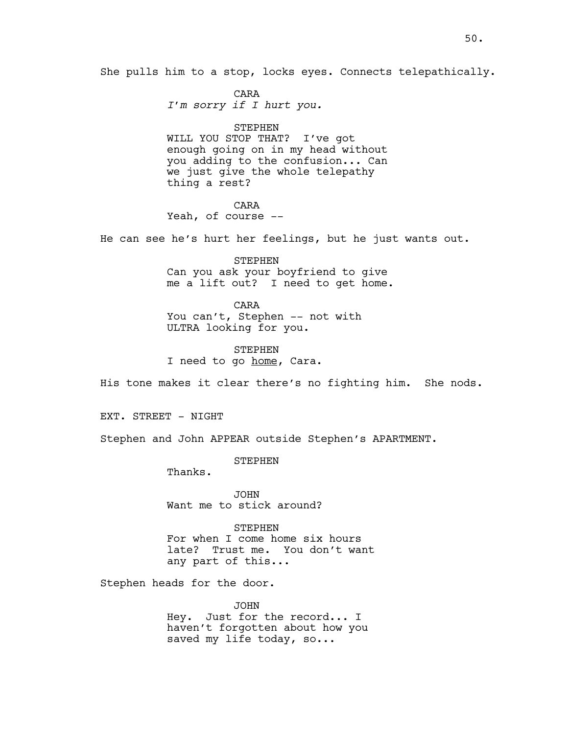She pulls him to a stop, locks eyes. Connects telepathically.

CARA *I'm sorry if I hurt you.*

STEPHEN WILL YOU STOP THAT? I've got enough going on in my head without you adding to the confusion... Can we just give the whole telepathy thing a rest?

# CARA

Yeah, of course --

He can see he's hurt her feelings, but he just wants out.

STEPHEN Can you ask your boyfriend to give me a lift out? I need to get home.

CARA You can't, Stephen -- not with ULTRA looking for you.

STEPHEN I need to go home, Cara.

His tone makes it clear there's no fighting him. She nods.

EXT. STREET - NIGHT

Stephen and John APPEAR outside Stephen's APARTMENT.

**STEPHEN** 

Thanks.

JOHN Want me to stick around?

STEPHEN For when I come home six hours late? Trust me. You don't want any part of this...

Stephen heads for the door.

JOHN Hey. Just for the record... I haven't forgotten about how you saved my life today, so...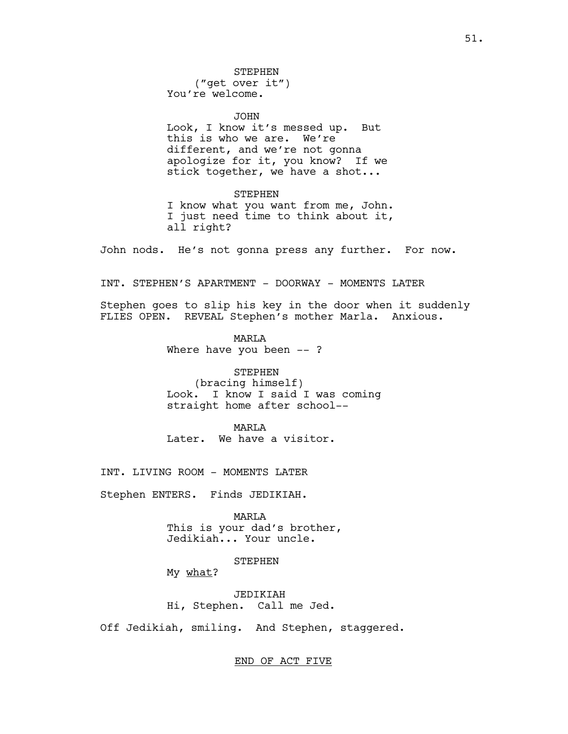STEPHEN

("get over it") You're welcome.

JOHN Look, I know it's messed up. But this is who we are. We're different, and we're not gonna apologize for it, you know? If we stick together, we have a shot...

STEPHEN I know what you want from me, John. I just need time to think about it, all right?

John nods. He's not gonna press any further. For now.

INT. STEPHEN'S APARTMENT - DOORWAY - MOMENTS LATER

Stephen goes to slip his key in the door when it suddenly FLIES OPEN. REVEAL Stephen's mother Marla. Anxious.

> **MART<sub>A</sub>** Where have you been --?

STEPHEN (bracing himself) Look. I know I said I was coming straight home after school--

MARLA Later. We have a visitor.

INT. LIVING ROOM - MOMENTS LATER

Stephen ENTERS. Finds JEDIKIAH.

MARLA This is your dad's brother, Jedikiah... Your uncle.

STEPHEN

My what?

JEDIKIAH Hi, Stephen. Call me Jed.

Off Jedikiah, smiling. And Stephen, staggered.

#### END OF ACT FIVE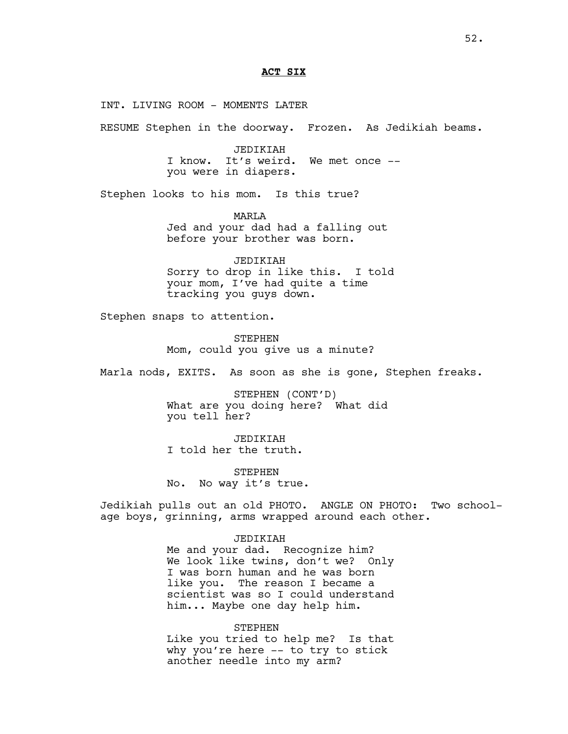### **ACT SIX**

INT. LIVING ROOM - MOMENTS LATER

RESUME Stephen in the doorway. Frozen. As Jedikiah beams.

JEDIKIAH I know. It's weird. We met once - you were in diapers.

Stephen looks to his mom. Is this true?

MARLA Jed and your dad had a falling out before your brother was born.

JEDIKIAH Sorry to drop in like this. I told your mom, I've had quite a time tracking you guys down.

Stephen snaps to attention.

**STEPHEN** Mom, could you give us a minute?

Marla nods, EXITS. As soon as she is gone, Stephen freaks.

STEPHEN (CONT'D) What are you doing here? What did you tell her?

JEDIKIAH I told her the truth.

STEPHEN No. No way it's true.

Jedikiah pulls out an old PHOTO. ANGLE ON PHOTO: Two schoolage boys, grinning, arms wrapped around each other.

# JEDIKIAH

Me and your dad. Recognize him? We look like twins, don't we? Only I was born human and he was born like you. The reason I became a scientist was so I could understand him... Maybe one day help him.

#### STEPHEN

Like you tried to help me? Is that why you're here -- to try to stick another needle into my arm?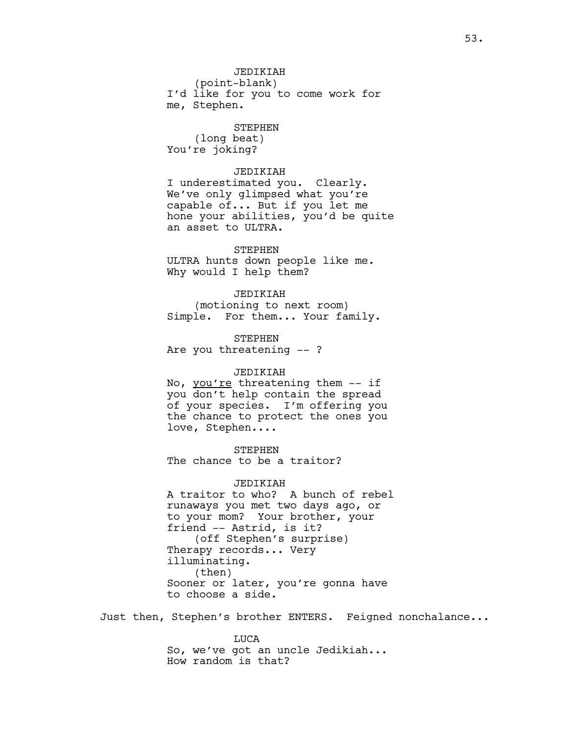# JEDIKIAH

(point-blank) I'd like for you to come work for me, Stephen.

#### STEPHEN

(long beat) You're joking?

#### JEDIKIAH

I underestimated you. Clearly. We've only glimpsed what you're capable of... But if you let me hone your abilities, you'd be quite an asset to ULTRA.

# STEPHEN ULTRA hunts down people like me. Why would I help them?

# JEDIKIAH

(motioning to next room) Simple. For them... Your family.

STEPHEN Are you threatening -- ?

# JEDIKIAH

No, you're threatening them -- if you don't help contain the spread of your species. I'm offering you the chance to protect the ones you love, Stephen....

STEPHEN The chance to be a traitor?

# JEDIKIAH

A traitor to who? A bunch of rebel runaways you met two days ago, or to your mom? Your brother, your friend -- Astrid, is it? (off Stephen's surprise) Therapy records... Very illuminating. (then) Sooner or later, you're gonna have to choose a side.

Just then, Stephen's brother ENTERS. Feigned nonchalance...

LUCA So, we've got an uncle Jedikiah... How random is that?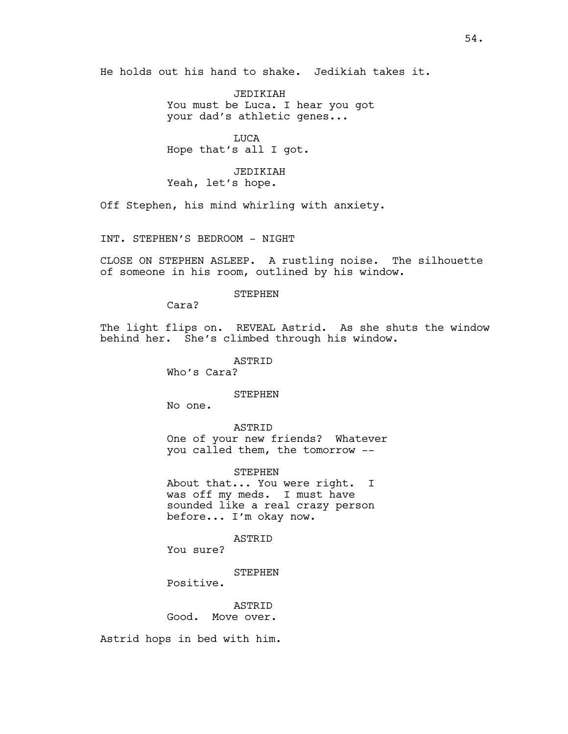He holds out his hand to shake. Jedikiah takes it.

JEDIKIAH You must be Luca. I hear you got your dad's athletic genes...

LUCA Hope that's all I got.

JEDIKIAH Yeah, let's hope.

Off Stephen, his mind whirling with anxiety.

INT. STEPHEN'S BEDROOM - NIGHT

CLOSE ON STEPHEN ASLEEP. A rustling noise. The silhouette of someone in his room, outlined by his window.

# STEPHEN

Cara?

The light flips on. REVEAL Astrid. As she shuts the window behind her. She's climbed through his window.

ASTRID

Who's Cara?

#### STEPHEN

No one.

ASTRID One of your new friends? Whatever you called them, the tomorrow --

STEPHEN About that... You were right. I was off my meds. I must have sounded like a real crazy person before... I'm okay now.

ASTRID

You sure?

STEPHEN

Positive.

**ASTRID** Good. Move over.

Astrid hops in bed with him.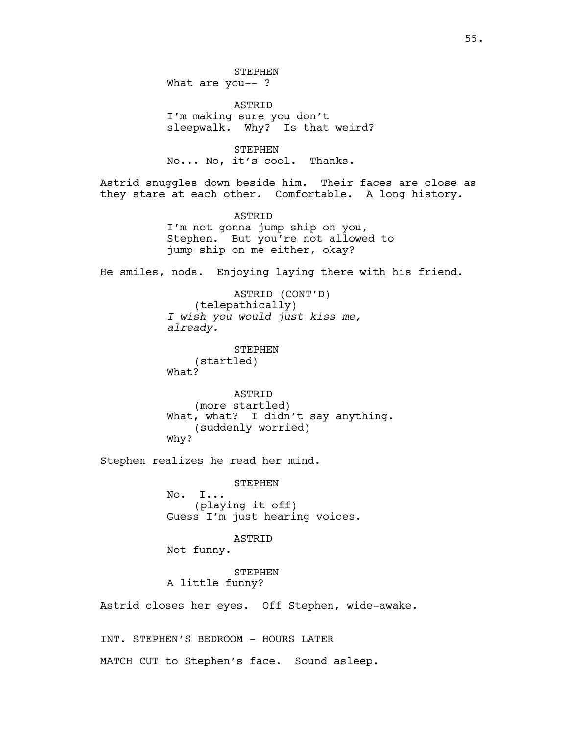STEPHEN What are you-- ?

ASTRID I'm making sure you don't sleepwalk. Why? Is that weird?

STEPHEN No... No, it's cool. Thanks.

Astrid snuggles down beside him. Their faces are close as they stare at each other. Comfortable. A long history.

> ASTRID I'm not gonna jump ship on you, Stephen. But you're not allowed to jump ship on me either, okay?

He smiles, nods. Enjoying laying there with his friend.

ASTRID (CONT'D) (telepathically) *I wish you would just kiss me, already.*

STEPHEN (startled) What?

ASTRID (more startled) What, what? I didn't say anything. (suddenly worried) Why?

Stephen realizes he read her mind.

STEPHEN No. I... (playing it off) Guess I'm just hearing voices.

ASTRID

Not funny.

STEPHEN A little funny?

Astrid closes her eyes. Off Stephen, wide-awake.

INT. STEPHEN'S BEDROOM - HOURS LATER MATCH CUT to Stephen's face. Sound asleep.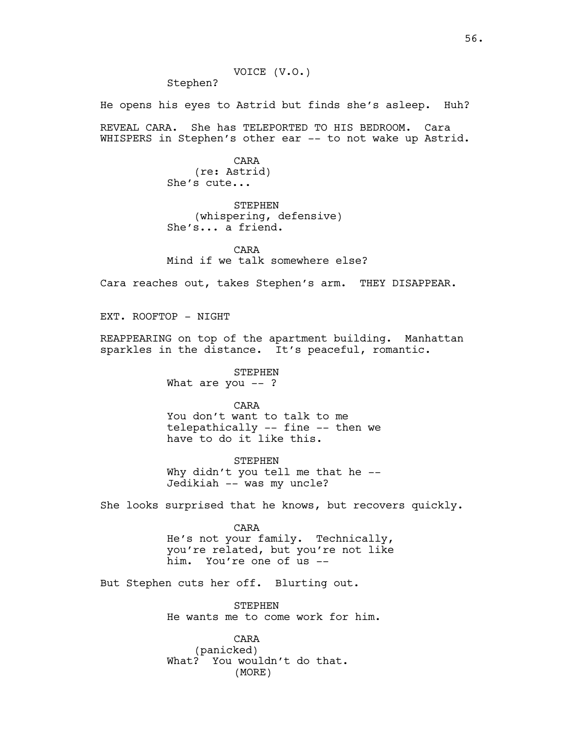Stephen?

He opens his eyes to Astrid but finds she's asleep. Huh?

REVEAL CARA. She has TELEPORTED TO HIS BEDROOM. Cara WHISPERS in Stephen's other ear -- to not wake up Astrid.

> CARA (re: Astrid) She's cute...

STEPHEN (whispering, defensive) She's... a friend.

CARA Mind if we talk somewhere else?

Cara reaches out, takes Stephen's arm. THEY DISAPPEAR.

EXT. ROOFTOP - NIGHT

REAPPEARING on top of the apartment building. Manhattan sparkles in the distance. It's peaceful, romantic.

> STEPHEN What are you  $--$  ?

> > CARA

You don't want to talk to me telepathically -- fine -- then we have to do it like this.

**STEPHEN** Why didn't you tell me that he --Jedikiah -- was my uncle?

She looks surprised that he knows, but recovers quickly.

CARA He's not your family. Technically, you're related, but you're not like him. You're one of us --

But Stephen cuts her off. Blurting out.

STEPHEN He wants me to come work for him.

CARA (panicked) What? You wouldn't do that. (MORE)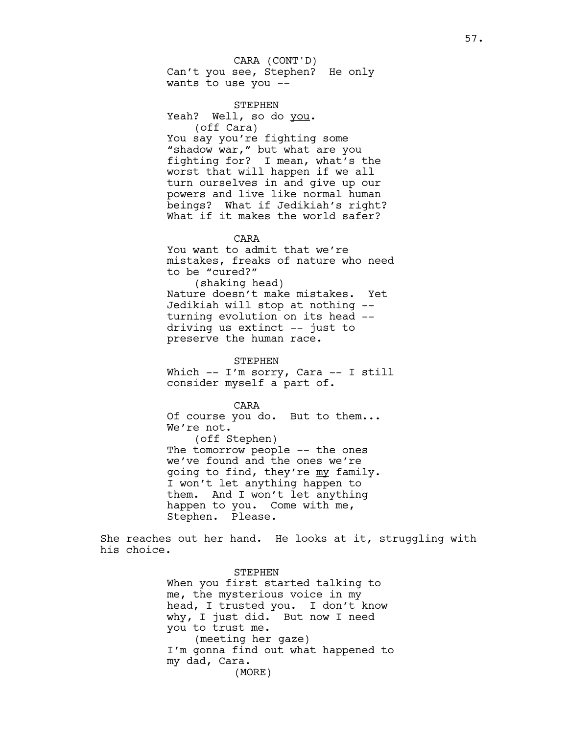Can't you see, Stephen? He only wants to use you -- CARA (CONT'D)

STEPHEN Yeah? Well, so do you. (off Cara) You say you're fighting some "shadow war," but what are you fighting for? I mean, what's the worst that will happen if we all turn ourselves in and give up our powers and live like normal human beings? What if Jedikiah's right? What if it makes the world safer?

CARA

You want to admit that we're mistakes, freaks of nature who need to be "cured?"

(shaking head) Nature doesn't make mistakes. Yet Jedikiah will stop at nothing - turning evolution on its head - driving us extinct -- just to preserve the human race.

STEPHEN Which -- I'm sorry, Cara -- I still consider myself a part of.

CARA Of course you do. But to them... We're not. (off Stephen) The tomorrow people -- the ones we've found and the ones we're going to find, they're my family. I won't let anything happen to them. And I won't let anything happen to you. Come with me, Stephen. Please.

She reaches out her hand. He looks at it, struggling with his choice.

> STEPHEN When you first started talking to me, the mysterious voice in my head, I trusted you. I don't know why, I just did. But now I need you to trust me. (meeting her gaze) I'm gonna find out what happened to my dad, Cara. (MORE)